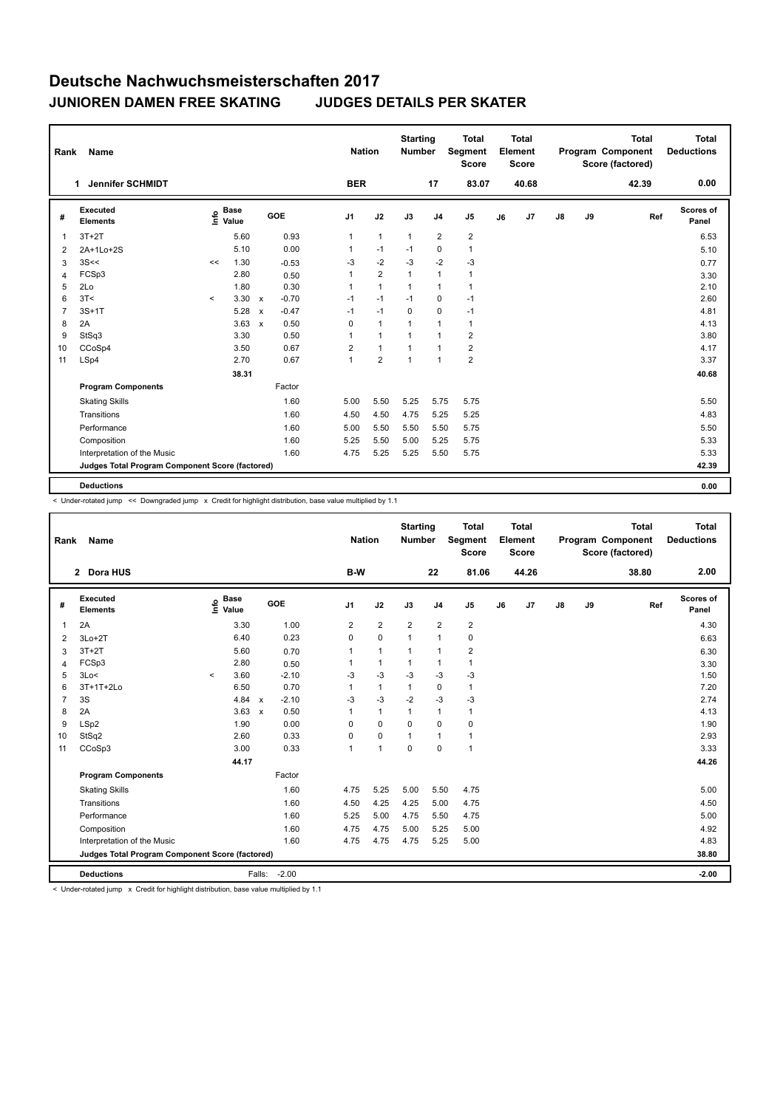| Rank           | <b>Name</b>                                     |         |                      |              |         | <b>Nation</b>        |                | <b>Starting</b><br><b>Number</b> |                | <b>Total</b><br>Segment<br><b>Score</b> |    | <b>Total</b><br>Element<br><b>Score</b> |               |    | <b>Total</b><br>Program Component<br>Score (factored) | Total<br><b>Deductions</b> |
|----------------|-------------------------------------------------|---------|----------------------|--------------|---------|----------------------|----------------|----------------------------------|----------------|-----------------------------------------|----|-----------------------------------------|---------------|----|-------------------------------------------------------|----------------------------|
|                | <b>Jennifer SCHMIDT</b><br>1.                   |         |                      |              |         | <b>BER</b>           |                |                                  | 17             | 83.07                                   |    | 40.68                                   |               |    | 42.39                                                 | 0.00                       |
| #              | Executed<br><b>Elements</b>                     | lnfo    | <b>Base</b><br>Value |              | GOE     | J1                   | J2             | J3                               | J <sub>4</sub> | J <sub>5</sub>                          | J6 | J7                                      | $\mathsf{J}8$ | J9 | Ref                                                   | Scores of<br>Panel         |
| 1              | $3T+2T$                                         |         | 5.60                 |              | 0.93    | $\mathbf{1}$         | $\mathbf{1}$   | $\overline{1}$                   | 2              | $\overline{\mathbf{c}}$                 |    |                                         |               |    |                                                       | 6.53                       |
| 2              | 2A+1Lo+2S                                       |         | 5.10                 |              | 0.00    | $\mathbf{1}$         | $-1$           | $-1$                             | $\Omega$       | $\mathbf{1}$                            |    |                                         |               |    |                                                       | 5.10                       |
| 3              | 3S<<                                            | <<      | 1.30                 |              | $-0.53$ | $-3$                 | $-2$           | $-3$                             | $-2$           | $-3$                                    |    |                                         |               |    |                                                       | 0.77                       |
| 4              | FCSp3                                           |         | 2.80                 |              | 0.50    | $\overline{1}$       | $\overline{2}$ | $\overline{1}$                   | 1              | $\mathbf{1}$                            |    |                                         |               |    |                                                       | 3.30                       |
| 5              | 2Lo                                             |         | 1.80                 |              | 0.30    | $\overline{1}$       | $\overline{1}$ | $\overline{1}$                   | 1              | $\mathbf{1}$                            |    |                                         |               |    |                                                       | 2.10                       |
| 6              | 3T<                                             | $\prec$ | 3.30                 | $\mathsf{x}$ | $-0.70$ | $-1$                 | $-1$           | $-1$                             | 0              | $-1$                                    |    |                                         |               |    |                                                       | 2.60                       |
| $\overline{7}$ | $3S+1T$                                         |         | 5.28                 | $\mathsf{x}$ | $-0.47$ | $-1$                 | $-1$           | $\mathbf 0$                      | $\Omega$       | $-1$                                    |    |                                         |               |    |                                                       | 4.81                       |
| 8              | 2A                                              |         | 3.63                 | $\mathbf{x}$ | 0.50    | 0                    | $\overline{1}$ | $\overline{1}$                   | 1              | $\mathbf{1}$                            |    |                                         |               |    |                                                       | 4.13                       |
| 9              | StSq3                                           |         | 3.30                 |              | 0.50    | $\blacktriangleleft$ | $\overline{1}$ | $\overline{1}$                   | 1              | $\overline{2}$                          |    |                                         |               |    |                                                       | 3.80                       |
| 10             | CCoSp4                                          |         | 3.50                 |              | 0.67    | $\overline{2}$       | $\mathbf{1}$   | $\overline{1}$                   | 1              | $\overline{2}$                          |    |                                         |               |    |                                                       | 4.17                       |
| 11             | LSp4                                            |         | 2.70                 |              | 0.67    | $\overline{1}$       | $\overline{2}$ | $\overline{1}$                   | 1              | $\overline{2}$                          |    |                                         |               |    |                                                       | 3.37                       |
|                |                                                 |         | 38.31                |              |         |                      |                |                                  |                |                                         |    |                                         |               |    |                                                       | 40.68                      |
|                | <b>Program Components</b>                       |         |                      |              | Factor  |                      |                |                                  |                |                                         |    |                                         |               |    |                                                       |                            |
|                | <b>Skating Skills</b>                           |         |                      |              | 1.60    | 5.00                 | 5.50           | 5.25                             | 5.75           | 5.75                                    |    |                                         |               |    |                                                       | 5.50                       |
|                | Transitions                                     |         |                      |              | 1.60    | 4.50                 | 4.50           | 4.75                             | 5.25           | 5.25                                    |    |                                         |               |    |                                                       | 4.83                       |
|                | Performance                                     |         |                      |              | 1.60    | 5.00                 | 5.50           | 5.50                             | 5.50           | 5.75                                    |    |                                         |               |    |                                                       | 5.50                       |
|                | Composition                                     |         |                      |              | 1.60    | 5.25                 | 5.50           | 5.00                             | 5.25           | 5.75                                    |    |                                         |               |    |                                                       | 5.33                       |
|                | Interpretation of the Music                     |         |                      |              | 1.60    | 4.75                 | 5.25           | 5.25                             | 5.50           | 5.75                                    |    |                                         |               |    |                                                       | 5.33                       |
|                | Judges Total Program Component Score (factored) |         |                      |              |         |                      |                |                                  |                |                                         |    |                                         |               |    |                                                       | 42.39                      |
|                | <b>Deductions</b>                               |         |                      |              |         |                      |                |                                  |                |                                         |    |                                         |               |    |                                                       | 0.00                       |
|                |                                                 |         |                      |              |         |                      |                |                                  |                |                                         |    |                                         |               |    |                                                       |                            |

< Under-rotated jump << Downgraded jump x Credit for highlight distribution, base value multiplied by 1.1

| Rank           | Name                                            |         |                      |              |         | <b>Nation</b>  |                | <b>Starting</b><br><b>Number</b> |                | <b>Total</b><br><b>Segment</b><br><b>Score</b> |    | <b>Total</b><br>Element<br><b>Score</b> |    |    | <b>Total</b><br>Program Component<br>Score (factored) | <b>Total</b><br><b>Deductions</b> |
|----------------|-------------------------------------------------|---------|----------------------|--------------|---------|----------------|----------------|----------------------------------|----------------|------------------------------------------------|----|-----------------------------------------|----|----|-------------------------------------------------------|-----------------------------------|
|                | 2 Dora HUS                                      |         |                      |              |         | B-W            |                |                                  | 22             | 81.06                                          |    | 44.26                                   |    |    | 38.80                                                 | 2.00                              |
| #              | Executed<br><b>Elements</b>                     | ١nf٥    | <b>Base</b><br>Value |              | GOE     | J <sub>1</sub> | J2             | J3                               | J <sub>4</sub> | J <sub>5</sub>                                 | J6 | J7                                      | J8 | J9 | Ref                                                   | <b>Scores of</b><br>Panel         |
| 1              | 2A                                              |         | 3.30                 |              | 1.00    | $\overline{2}$ | $\overline{2}$ | $\overline{2}$                   | $\overline{2}$ | $\overline{2}$                                 |    |                                         |    |    |                                                       | 4.30                              |
| 2              | $3Lo+2T$                                        |         | 6.40                 |              | 0.23    | 0              | $\mathbf 0$    | $\mathbf{1}$                     | $\mathbf{1}$   | 0                                              |    |                                         |    |    |                                                       | 6.63                              |
| 3              | $3T+2T$                                         |         | 5.60                 |              | 0.70    | 1              | $\mathbf{1}$   | 1                                | $\mathbf{1}$   | $\overline{2}$                                 |    |                                         |    |    |                                                       | 6.30                              |
| 4              | FCSp3                                           |         | 2.80                 |              | 0.50    |                | $\mathbf{1}$   | $\mathbf{1}$                     | $\mathbf{1}$   | $\mathbf{1}$                                   |    |                                         |    |    |                                                       | 3.30                              |
| 5              | 3Lo<                                            | $\prec$ | 3.60                 |              | $-2.10$ | $-3$           | $-3$           | $-3$                             | $-3$           | $-3$                                           |    |                                         |    |    |                                                       | 1.50                              |
| 6              | 3T+1T+2Lo                                       |         | 6.50                 |              | 0.70    | 1              | $\mathbf{1}$   | $\mathbf{1}$                     | 0              | $\mathbf{1}$                                   |    |                                         |    |    |                                                       | 7.20                              |
| $\overline{7}$ | 3S                                              |         | 4.84                 | $\mathsf{x}$ | $-2.10$ | -3             | $-3$           | $-2$                             | $-3$           | $-3$                                           |    |                                         |    |    |                                                       | 2.74                              |
| 8              | 2A                                              |         | 3.63                 | $\mathsf{x}$ | 0.50    | 1              | $\mathbf{1}$   | $\mathbf{1}$                     | $\mathbf{1}$   | $\mathbf{1}$                                   |    |                                         |    |    |                                                       | 4.13                              |
| 9              | LSp2                                            |         | 1.90                 |              | 0.00    | $\Omega$       | $\mathbf 0$    | $\Omega$                         | $\mathbf 0$    | 0                                              |    |                                         |    |    |                                                       | 1.90                              |
| 10             | StSq2                                           |         | 2.60                 |              | 0.33    | 0              | $\pmb{0}$      | $\mathbf{1}$                     | $\mathbf{1}$   | $\mathbf{1}$                                   |    |                                         |    |    |                                                       | 2.93                              |
| 11             | CCoSp3                                          |         | 3.00                 |              | 0.33    | $\mathbf{1}$   | $\mathbf{1}$   | $\mathbf 0$                      | $\mathbf 0$    | $\mathbf{1}$                                   |    |                                         |    |    |                                                       | 3.33                              |
|                |                                                 |         | 44.17                |              |         |                |                |                                  |                |                                                |    |                                         |    |    |                                                       | 44.26                             |
|                | <b>Program Components</b>                       |         |                      |              | Factor  |                |                |                                  |                |                                                |    |                                         |    |    |                                                       |                                   |
|                | <b>Skating Skills</b>                           |         |                      |              | 1.60    | 4.75           | 5.25           | 5.00                             | 5.50           | 4.75                                           |    |                                         |    |    |                                                       | 5.00                              |
|                | Transitions                                     |         |                      |              | 1.60    | 4.50           | 4.25           | 4.25                             | 5.00           | 4.75                                           |    |                                         |    |    |                                                       | 4.50                              |
|                | Performance                                     |         |                      |              | 1.60    | 5.25           | 5.00           | 4.75                             | 5.50           | 4.75                                           |    |                                         |    |    |                                                       | 5.00                              |
|                | Composition                                     |         |                      |              | 1.60    | 4.75           | 4.75           | 5.00                             | 5.25           | 5.00                                           |    |                                         |    |    |                                                       | 4.92                              |
|                | Interpretation of the Music                     |         |                      |              | 1.60    | 4.75           | 4.75           | 4.75                             | 5.25           | 5.00                                           |    |                                         |    |    |                                                       | 4.83                              |
|                | Judges Total Program Component Score (factored) |         |                      |              |         |                |                |                                  |                |                                                |    |                                         |    |    |                                                       | 38.80                             |
|                | <b>Deductions</b>                               |         |                      | Falls:       | $-2.00$ |                |                |                                  |                |                                                |    |                                         |    |    |                                                       | $-2.00$                           |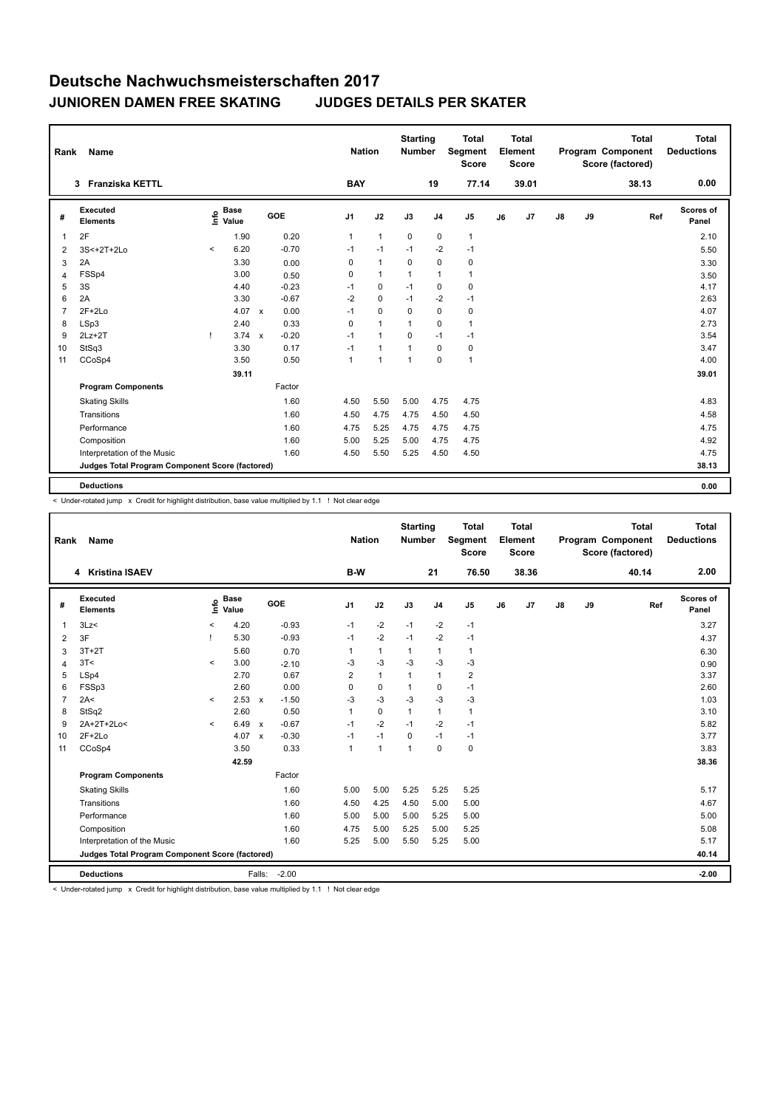| Rank           | <b>Name</b>                                     |         |                      |              |         | <b>Nation</b>  |                | <b>Starting</b><br><b>Number</b> |                | <b>Total</b><br>Segment<br><b>Score</b> |    | <b>Total</b><br>Element<br><b>Score</b> |               |    | <b>Total</b><br>Program Component<br>Score (factored) | Total<br><b>Deductions</b> |
|----------------|-------------------------------------------------|---------|----------------------|--------------|---------|----------------|----------------|----------------------------------|----------------|-----------------------------------------|----|-----------------------------------------|---------------|----|-------------------------------------------------------|----------------------------|
|                | <b>Franziska KETTL</b><br>3                     |         |                      |              |         | <b>BAY</b>     |                |                                  | 19             | 77.14                                   |    | 39.01                                   |               |    | 38.13                                                 | 0.00                       |
| #              | Executed<br><b>Elements</b>                     | lnfo    | <b>Base</b><br>Value |              | GOE     | J1             | J2             | J3                               | J <sub>4</sub> | J <sub>5</sub>                          | J6 | J7                                      | $\mathsf{J}8$ | J9 | Ref                                                   | Scores of<br>Panel         |
| 1              | 2F                                              |         | 1.90                 |              | 0.20    | $\mathbf{1}$   | $\mathbf{1}$   | $\mathbf 0$                      | 0              | $\mathbf{1}$                            |    |                                         |               |    |                                                       | 2.10                       |
| 2              | 3S<+2T+2Lo                                      | $\prec$ | 6.20                 |              | $-0.70$ | $-1$           | $-1$           | $-1$                             | $-2$           | $-1$                                    |    |                                         |               |    |                                                       | 5.50                       |
| 3              | 2A                                              |         | 3.30                 |              | 0.00    | 0              | $\overline{1}$ | $\Omega$                         | $\Omega$       | 0                                       |    |                                         |               |    |                                                       | 3.30                       |
| 4              | FSSp4                                           |         | 3.00                 |              | 0.50    | $\mathbf 0$    | $\overline{1}$ | $\overline{1}$                   | 1              | $\mathbf{1}$                            |    |                                         |               |    |                                                       | 3.50                       |
| 5              | 3S                                              |         | 4.40                 |              | $-0.23$ | $-1$           | 0              | $-1$                             | 0              | 0                                       |    |                                         |               |    |                                                       | 4.17                       |
| 6              | 2A                                              |         | 3.30                 |              | $-0.67$ | $-2$           | $\mathbf 0$    | $-1$                             | $-2$           | $-1$                                    |    |                                         |               |    |                                                       | 2.63                       |
| $\overline{7}$ | $2F+2Lo$                                        |         | 4.07                 | $\mathsf{x}$ | 0.00    | $-1$           | $\Omega$       | $\Omega$                         | $\Omega$       | 0                                       |    |                                         |               |    |                                                       | 4.07                       |
| 8              | LSp3                                            |         | 2.40                 |              | 0.33    | 0              | $\mathbf{1}$   | $\overline{1}$                   | $\Omega$       | $\mathbf{1}$                            |    |                                         |               |    |                                                       | 2.73                       |
| 9              | $2Lz+2T$                                        | Ţ.      | 3.74                 | $\mathsf{x}$ | $-0.20$ | $-1$           | $\overline{1}$ | $\mathbf 0$                      | $-1$           | $-1$                                    |    |                                         |               |    |                                                       | 3.54                       |
| 10             | StSq3                                           |         | 3.30                 |              | 0.17    | $-1$           | $\mathbf{1}$   | $\overline{1}$                   | $\Omega$       | 0                                       |    |                                         |               |    |                                                       | 3.47                       |
| 11             | CCoSp4                                          |         | 3.50                 |              | 0.50    | $\overline{1}$ | $\overline{1}$ | $\overline{1}$                   | $\Omega$       | $\mathbf{1}$                            |    |                                         |               |    |                                                       | 4.00                       |
|                |                                                 |         | 39.11                |              |         |                |                |                                  |                |                                         |    |                                         |               |    |                                                       | 39.01                      |
|                | <b>Program Components</b>                       |         |                      |              | Factor  |                |                |                                  |                |                                         |    |                                         |               |    |                                                       |                            |
|                | <b>Skating Skills</b>                           |         |                      |              | 1.60    | 4.50           | 5.50           | 5.00                             | 4.75           | 4.75                                    |    |                                         |               |    |                                                       | 4.83                       |
|                | Transitions                                     |         |                      |              | 1.60    | 4.50           | 4.75           | 4.75                             | 4.50           | 4.50                                    |    |                                         |               |    |                                                       | 4.58                       |
|                | Performance                                     |         |                      |              | 1.60    | 4.75           | 5.25           | 4.75                             | 4.75           | 4.75                                    |    |                                         |               |    |                                                       | 4.75                       |
|                | Composition                                     |         |                      |              | 1.60    | 5.00           | 5.25           | 5.00                             | 4.75           | 4.75                                    |    |                                         |               |    |                                                       | 4.92                       |
|                | Interpretation of the Music                     |         |                      |              | 1.60    | 4.50           | 5.50           | 5.25                             | 4.50           | 4.50                                    |    |                                         |               |    |                                                       | 4.75                       |
|                | Judges Total Program Component Score (factored) |         |                      |              |         |                |                |                                  |                |                                         |    |                                         |               |    |                                                       | 38.13                      |
|                |                                                 |         |                      |              |         |                |                |                                  |                |                                         |    |                                         |               |    |                                                       |                            |
|                | <b>Deductions</b>                               |         |                      |              |         |                |                |                                  |                |                                         |    |                                         |               |    |                                                       | 0.00                       |

< Under-rotated jump x Credit for highlight distribution, base value multiplied by 1.1 ! Not clear edge

| Rank           | <b>Name</b>                                     |         |                      |                           |            |                | <b>Nation</b> | <b>Starting</b><br><b>Number</b> |                | <b>Total</b><br><b>Segment</b><br><b>Score</b> |    | <b>Total</b><br>Element<br>Score |               |    | <b>Total</b><br>Program Component<br>Score (factored) | <b>Total</b><br><b>Deductions</b> |
|----------------|-------------------------------------------------|---------|----------------------|---------------------------|------------|----------------|---------------|----------------------------------|----------------|------------------------------------------------|----|----------------------------------|---------------|----|-------------------------------------------------------|-----------------------------------|
|                | 4 Kristina ISAEV                                |         |                      |                           |            | B-W            |               |                                  | 21             | 76.50                                          |    | 38.36                            |               |    | 40.14                                                 | 2.00                              |
| #              | Executed<br><b>Elements</b>                     | ١nf٥    | <b>Base</b><br>Value |                           | <b>GOE</b> | J <sub>1</sub> | J2            | J3                               | J <sub>4</sub> | J <sub>5</sub>                                 | J6 | J <sub>7</sub>                   | $\mathsf{J}8$ | J9 | Ref                                                   | Scores of<br>Panel                |
| 1              | 3Lz<                                            | $\,<$   | 4.20                 |                           | $-0.93$    | $-1$           | $-2$          | $-1$                             | $-2$           | $-1$                                           |    |                                  |               |    |                                                       | 3.27                              |
| 2              | 3F                                              |         | 5.30                 |                           | $-0.93$    | $-1$           | $-2$          | $-1$                             | $-2$           | $-1$                                           |    |                                  |               |    |                                                       | 4.37                              |
| 3              | $3T+2T$                                         |         | 5.60                 |                           | 0.70       | 1              | $\mathbf{1}$  | $\mathbf{1}$                     | $\mathbf{1}$   | $\mathbf{1}$                                   |    |                                  |               |    |                                                       | 6.30                              |
| $\overline{4}$ | 3T<                                             | $\prec$ | 3.00                 |                           | $-2.10$    | $-3$           | $-3$          | $-3$                             | $-3$           | $-3$                                           |    |                                  |               |    |                                                       | 0.90                              |
| 5              | LSp4                                            |         | 2.70                 |                           | 0.67       | $\overline{2}$ | $\mathbf{1}$  | $\mathbf{1}$                     | $\mathbf{1}$   | $\overline{2}$                                 |    |                                  |               |    |                                                       | 3.37                              |
| 6              | FSSp3                                           |         | 2.60                 |                           | 0.00       | 0              | $\mathbf 0$   | $\mathbf{1}$                     | $\mathbf 0$    | $-1$                                           |    |                                  |               |    |                                                       | 2.60                              |
| $\overline{7}$ | 2A<                                             | $\prec$ | 2.53                 | $\mathsf{x}$              | $-1.50$    | $-3$           | $-3$          | $-3$                             | $-3$           | $-3$                                           |    |                                  |               |    |                                                       | 1.03                              |
| 8              | StSq2                                           |         | 2.60                 |                           | 0.50       | $\mathbf{1}$   | $\mathbf 0$   | $\mathbf{1}$                     | $\mathbf{1}$   | $\mathbf{1}$                                   |    |                                  |               |    |                                                       | 3.10                              |
| 9              | 2A+2T+2Lo<                                      | $\prec$ | 6.49                 | $\mathsf{x}$              | $-0.67$    | $-1$           | $-2$          | $-1$                             | $-2$           | $-1$                                           |    |                                  |               |    |                                                       | 5.82                              |
| 10             | $2F+2Lo$                                        |         | 4.07                 | $\boldsymbol{\mathsf{x}}$ | $-0.30$    | $-1$           | $-1$          | $\mathbf 0$                      | $-1$           | $-1$                                           |    |                                  |               |    |                                                       | 3.77                              |
| 11             | CCoSp4                                          |         | 3.50                 |                           | 0.33       | $\mathbf{1}$   | $\mathbf{1}$  | $\mathbf{1}$                     | $\mathbf 0$    | $\mathbf 0$                                    |    |                                  |               |    |                                                       | 3.83                              |
|                |                                                 |         | 42.59                |                           |            |                |               |                                  |                |                                                |    |                                  |               |    |                                                       | 38.36                             |
|                | <b>Program Components</b>                       |         |                      |                           | Factor     |                |               |                                  |                |                                                |    |                                  |               |    |                                                       |                                   |
|                | <b>Skating Skills</b>                           |         |                      |                           | 1.60       | 5.00           | 5.00          | 5.25                             | 5.25           | 5.25                                           |    |                                  |               |    |                                                       | 5.17                              |
|                | Transitions                                     |         |                      |                           | 1.60       | 4.50           | 4.25          | 4.50                             | 5.00           | 5.00                                           |    |                                  |               |    |                                                       | 4.67                              |
|                | Performance                                     |         |                      |                           | 1.60       | 5.00           | 5.00          | 5.00                             | 5.25           | 5.00                                           |    |                                  |               |    |                                                       | 5.00                              |
|                | Composition                                     |         |                      |                           | 1.60       | 4.75           | 5.00          | 5.25                             | 5.00           | 5.25                                           |    |                                  |               |    |                                                       | 5.08                              |
|                | Interpretation of the Music                     |         |                      |                           | 1.60       | 5.25           | 5.00          | 5.50                             | 5.25           | 5.00                                           |    |                                  |               |    |                                                       | 5.17                              |
|                | Judges Total Program Component Score (factored) |         |                      |                           |            |                |               |                                  |                |                                                |    |                                  |               |    |                                                       | 40.14                             |
|                | <b>Deductions</b>                               |         |                      | Falls:                    | $-2.00$    |                |               |                                  |                |                                                |    |                                  |               |    |                                                       | $-2.00$                           |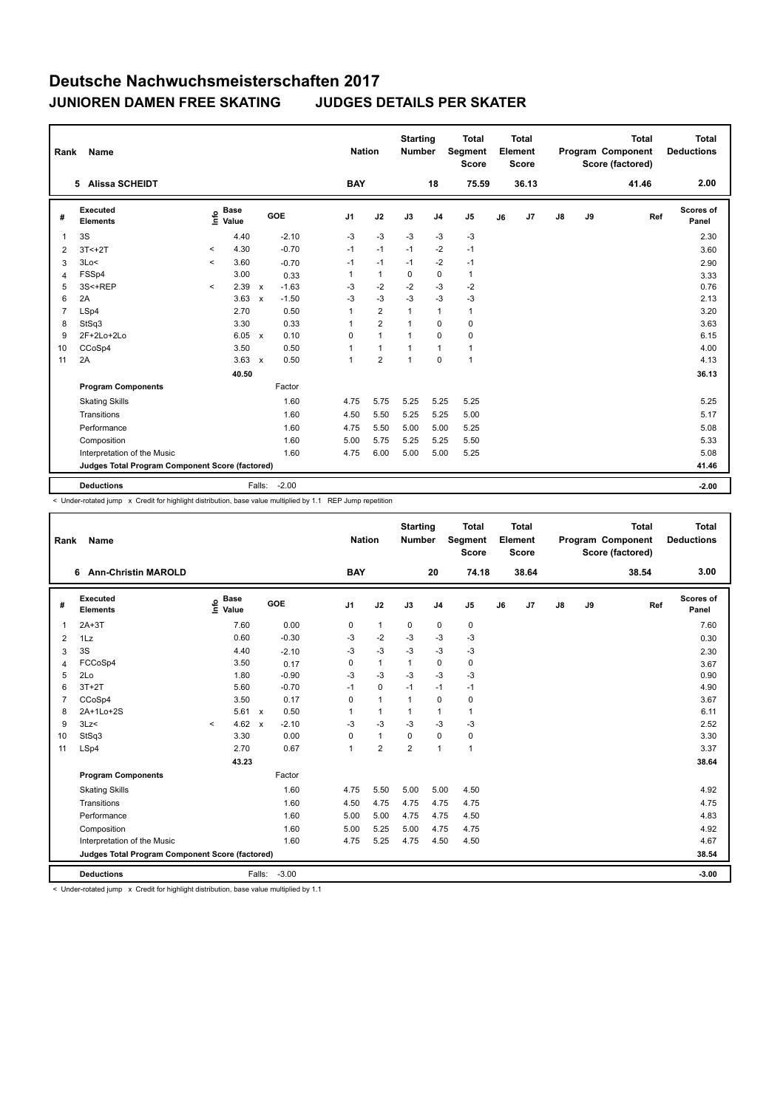| Rank           | Name                                            |         |                      |              |         |                | <b>Nation</b> |                | <b>Starting</b><br><b>Number</b> |                | <b>Total</b><br>Segment<br><b>Score</b> |    | <b>Total</b><br>Element<br>Score |    |    | <b>Total</b><br>Program Component<br>Score (factored) | <b>Total</b><br><b>Deductions</b> |
|----------------|-------------------------------------------------|---------|----------------------|--------------|---------|----------------|---------------|----------------|----------------------------------|----------------|-----------------------------------------|----|----------------------------------|----|----|-------------------------------------------------------|-----------------------------------|
|                | 5 Alissa SCHEIDT                                |         |                      |              |         |                | <b>BAY</b>    |                |                                  | 18             | 75.59                                   |    | 36.13                            |    |    | 41.46                                                 | 2.00                              |
| #              | Executed<br><b>Elements</b>                     | ۴ê      | <b>Base</b><br>Value |              | GOE     | J <sub>1</sub> |               | J2             | J3                               | J <sub>4</sub> | J <sub>5</sub>                          | J6 | J7                               | J8 | J9 | Ref                                                   | Scores of<br>Panel                |
| 1              | 3S                                              |         | 4.40                 |              | $-2.10$ | $-3$           |               | $-3$           | $-3$                             | $-3$           | $-3$                                    |    |                                  |    |    |                                                       | 2.30                              |
| 2              | $3T < +2T$                                      | $\prec$ | 4.30                 |              | $-0.70$ | $-1$           |               | $-1$           | $-1$                             | $-2$           | $-1$                                    |    |                                  |    |    |                                                       | 3.60                              |
| 3              | 3Lo<                                            | $\,<$   | 3.60                 |              | $-0.70$ | $-1$           |               | $-1$           | $-1$                             | $-2$           | $-1$                                    |    |                                  |    |    |                                                       | 2.90                              |
| $\overline{4}$ | FSSp4                                           |         | 3.00                 |              | 0.33    | 1              |               | $\mathbf{1}$   | 0                                | 0              | $\mathbf{1}$                            |    |                                  |    |    |                                                       | 3.33                              |
| 5              | 3S<+REP                                         | $\prec$ | 2.39                 | $\mathbf{x}$ | $-1.63$ | $-3$           |               | $-2$           | $-2$                             | $-3$           | $-2$                                    |    |                                  |    |    |                                                       | 0.76                              |
| 6              | 2A                                              |         | 3.63                 | $\mathbf{x}$ | $-1.50$ | $-3$           |               | $-3$           | $-3$                             | $-3$           | $-3$                                    |    |                                  |    |    |                                                       | 2.13                              |
| $\overline{7}$ | LSp4                                            |         | 2.70                 |              | 0.50    | 1              |               | $\overline{2}$ | 1                                | $\mathbf{1}$   | $\mathbf{1}$                            |    |                                  |    |    |                                                       | 3.20                              |
| 8              | StSq3                                           |         | 3.30                 |              | 0.33    | $\mathbf{1}$   |               | $\overline{2}$ | 1                                | 0              | 0                                       |    |                                  |    |    |                                                       | 3.63                              |
| 9              | 2F+2Lo+2Lo                                      |         | 6.05                 | $\mathbf{x}$ | 0.10    | 0              |               | $\mathbf{1}$   | 1                                | $\Omega$       | $\mathbf 0$                             |    |                                  |    |    |                                                       | 6.15                              |
| 10             | CCoSp4                                          |         | 3.50                 |              | 0.50    | 1              |               | $\mathbf{1}$   | 1                                | $\mathbf{1}$   | $\mathbf{1}$                            |    |                                  |    |    |                                                       | 4.00                              |
| 11             | 2A                                              |         | 3.63                 | $\mathsf{x}$ | 0.50    | $\mathbf{1}$   |               | $\overline{2}$ | 1                                | $\Omega$       | $\overline{1}$                          |    |                                  |    |    |                                                       | 4.13                              |
|                |                                                 |         | 40.50                |              |         |                |               |                |                                  |                |                                         |    |                                  |    |    |                                                       | 36.13                             |
|                | <b>Program Components</b>                       |         |                      |              | Factor  |                |               |                |                                  |                |                                         |    |                                  |    |    |                                                       |                                   |
|                | <b>Skating Skills</b>                           |         |                      |              | 1.60    | 4.75           |               | 5.75           | 5.25                             | 5.25           | 5.25                                    |    |                                  |    |    |                                                       | 5.25                              |
|                | Transitions                                     |         |                      |              | 1.60    | 4.50           |               | 5.50           | 5.25                             | 5.25           | 5.00                                    |    |                                  |    |    |                                                       | 5.17                              |
|                | Performance                                     |         |                      |              | 1.60    | 4.75           |               | 5.50           | 5.00                             | 5.00           | 5.25                                    |    |                                  |    |    |                                                       | 5.08                              |
|                | Composition                                     |         |                      |              | 1.60    | 5.00           |               | 5.75           | 5.25                             | 5.25           | 5.50                                    |    |                                  |    |    |                                                       | 5.33                              |
|                | Interpretation of the Music                     |         |                      |              | 1.60    | 4.75           |               | 6.00           | 5.00                             | 5.00           | 5.25                                    |    |                                  |    |    |                                                       | 5.08                              |
|                | Judges Total Program Component Score (factored) |         |                      |              |         |                |               |                |                                  |                |                                         |    |                                  |    |    |                                                       | 41.46                             |
|                | <b>Deductions</b>                               |         |                      | Falls:       | $-2.00$ |                |               |                |                                  |                |                                         |    |                                  |    |    |                                                       | $-2.00$                           |

< Under-rotated jump x Credit for highlight distribution, base value multiplied by 1.1 REP Jump repetition

| Rank           | Name                                            |                              |                           |         | <b>Nation</b>  |                | <b>Starting</b><br><b>Number</b> |                | <b>Total</b><br>Segment<br><b>Score</b> |    | <b>Total</b><br>Element<br>Score |    |    | <b>Total</b><br>Program Component<br>Score (factored) | <b>Total</b><br><b>Deductions</b> |
|----------------|-------------------------------------------------|------------------------------|---------------------------|---------|----------------|----------------|----------------------------------|----------------|-----------------------------------------|----|----------------------------------|----|----|-------------------------------------------------------|-----------------------------------|
|                | 6 Ann-Christin MAROLD                           |                              |                           |         | <b>BAY</b>     |                |                                  | 20             | 74.18                                   |    | 38.64                            |    |    | 38.54                                                 | 3.00                              |
| #              | <b>Executed</b><br><b>Elements</b>              | <b>Base</b><br>١nf٥<br>Value | GOE                       |         | J <sub>1</sub> | J2             | J3                               | J <sub>4</sub> | J5                                      | J6 | J7                               | J8 | J9 | Ref                                                   | Scores of<br>Panel                |
| 1              | $2A+3T$                                         | 7.60                         |                           | 0.00    | 0              | $\mathbf{1}$   | $\mathbf 0$                      | $\pmb{0}$      | $\mathbf 0$                             |    |                                  |    |    |                                                       | 7.60                              |
| $\overline{2}$ | 1Lz                                             | 0.60                         |                           | $-0.30$ | -3             | -2             | -3                               | $-3$           | -3                                      |    |                                  |    |    |                                                       | 0.30                              |
| 3              | 3S                                              | 4.40                         |                           | $-2.10$ | $-3$           | $-3$           | $-3$                             | $-3$           | $-3$                                    |    |                                  |    |    |                                                       | 2.30                              |
| 4              | FCCoSp4                                         | 3.50                         |                           | 0.17    | 0              | $\mathbf{1}$   | $\mathbf{1}$                     | 0              | 0                                       |    |                                  |    |    |                                                       | 3.67                              |
| 5              | 2Lo                                             | 1.80                         |                           | $-0.90$ | $-3$           | $-3$           | $-3$                             | $-3$           | $-3$                                    |    |                                  |    |    |                                                       | 0.90                              |
| 6              | $3T+2T$                                         | 5.60                         |                           | $-0.70$ | $-1$           | $\mathbf 0$    | $-1$                             | $-1$           | $-1$                                    |    |                                  |    |    |                                                       | 4.90                              |
| $\overline{7}$ | CCoSp4                                          | 3.50                         |                           | 0.17    | 0              | $\mathbf{1}$   | $\overline{1}$                   | $\mathbf 0$    | 0                                       |    |                                  |    |    |                                                       | 3.67                              |
| 8              | 2A+1Lo+2S                                       | 5.61                         | $\boldsymbol{\mathsf{x}}$ | 0.50    | 1              | $\mathbf{1}$   | $\mathbf{1}$                     | $\overline{1}$ | $\mathbf{1}$                            |    |                                  |    |    |                                                       | 6.11                              |
| 9              | 3Lz<                                            | 4.62<br>$\prec$              | $\mathsf{x}$              | $-2.10$ | $-3$           | $-3$           | $-3$                             | -3             | $-3$                                    |    |                                  |    |    |                                                       | 2.52                              |
| 10             | StSq3                                           | 3.30                         |                           | 0.00    | 0              | $\mathbf{1}$   | 0                                | $\mathbf 0$    | $\pmb{0}$                               |    |                                  |    |    |                                                       | 3.30                              |
| 11             | LSp4                                            | 2.70                         |                           | 0.67    | 1              | $\overline{2}$ | $\overline{2}$                   | $\overline{1}$ | $\mathbf{1}$                            |    |                                  |    |    |                                                       | 3.37                              |
|                |                                                 | 43.23                        |                           |         |                |                |                                  |                |                                         |    |                                  |    |    |                                                       | 38.64                             |
|                | <b>Program Components</b>                       |                              |                           | Factor  |                |                |                                  |                |                                         |    |                                  |    |    |                                                       |                                   |
|                | <b>Skating Skills</b>                           |                              |                           | 1.60    | 4.75           | 5.50           | 5.00                             | 5.00           | 4.50                                    |    |                                  |    |    |                                                       | 4.92                              |
|                | Transitions                                     |                              |                           | 1.60    | 4.50           | 4.75           | 4.75                             | 4.75           | 4.75                                    |    |                                  |    |    |                                                       | 4.75                              |
|                | Performance                                     |                              |                           | 1.60    | 5.00           | 5.00           | 4.75                             | 4.75           | 4.50                                    |    |                                  |    |    |                                                       | 4.83                              |
|                | Composition                                     |                              |                           | 1.60    | 5.00           | 5.25           | 5.00                             | 4.75           | 4.75                                    |    |                                  |    |    |                                                       | 4.92                              |
|                | Interpretation of the Music                     |                              |                           | 1.60    | 4.75           | 5.25           | 4.75                             | 4.50           | 4.50                                    |    |                                  |    |    |                                                       | 4.67                              |
|                | Judges Total Program Component Score (factored) |                              |                           |         |                |                |                                  |                |                                         |    |                                  |    |    |                                                       | 38.54                             |
|                | <b>Deductions</b>                               |                              | Falls:                    | $-3.00$ |                |                |                                  |                |                                         |    |                                  |    |    |                                                       | $-3.00$                           |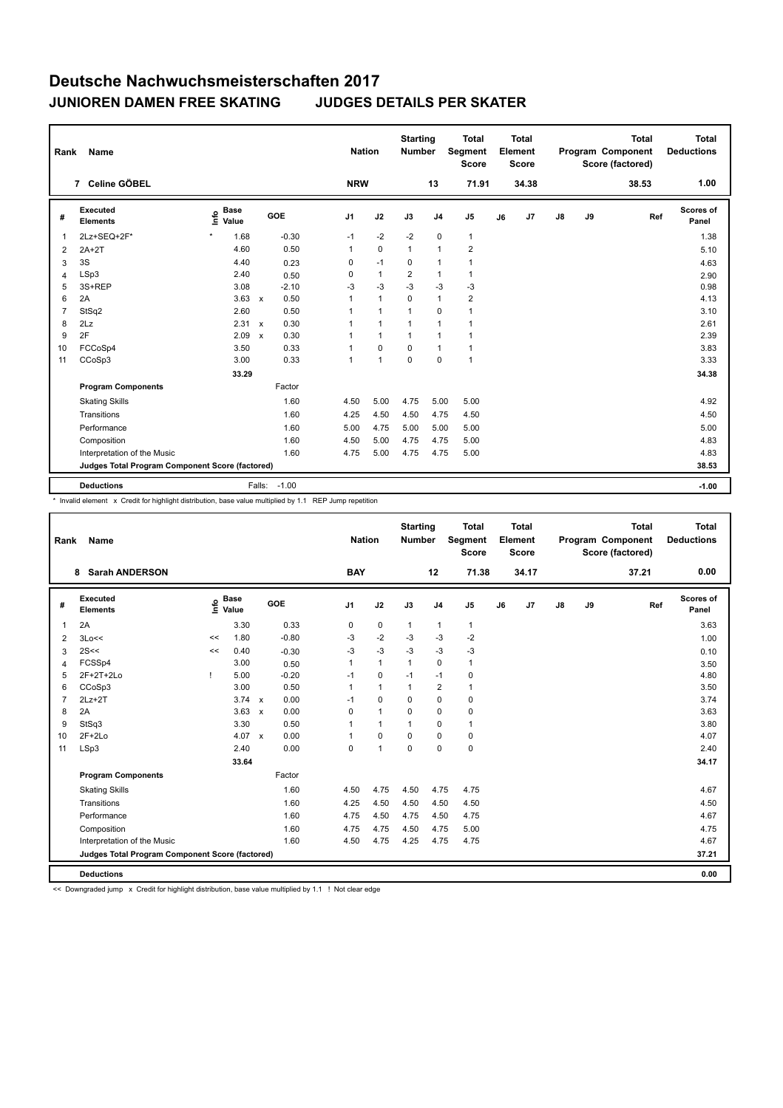| Rank           | Name                                            |                           |                      | <b>Nation</b>  |                | <b>Starting</b><br>Number |                | <b>Total</b><br><b>Segment</b><br><b>Score</b> |    | Total<br>Element<br><b>Score</b> |    |    | <b>Total</b><br>Program Component<br>Score (factored) | <b>Total</b><br><b>Deductions</b> |
|----------------|-------------------------------------------------|---------------------------|----------------------|----------------|----------------|---------------------------|----------------|------------------------------------------------|----|----------------------------------|----|----|-------------------------------------------------------|-----------------------------------|
|                | 7 Celine GÖBEL                                  |                           |                      | <b>NRW</b>     |                |                           | 13             | 71.91                                          |    | 34.38                            |    |    | 38.53                                                 | 1.00                              |
| #              | <b>Executed</b><br><b>Elements</b>              | <b>Base</b><br>e<br>Value | GOE                  | J1             | J2             | J3                        | J <sub>4</sub> | J <sub>5</sub>                                 | J6 | J <sub>7</sub>                   | J8 | J9 | Ref                                                   | Scores of<br>Panel                |
| 1              | 2Lz+SEQ+2F*                                     | $\star$<br>1.68           | $-0.30$              | $-1$           | $-2$           | $-2$                      | $\mathbf 0$    | $\mathbf{1}$                                   |    |                                  |    |    |                                                       | 1.38                              |
| 2              | $2A+2T$                                         | 4.60                      | 0.50                 | $\overline{1}$ | $\mathbf 0$    | $\overline{1}$            | $\mathbf{1}$   | $\overline{2}$                                 |    |                                  |    |    |                                                       | 5.10                              |
| 3              | 3S                                              | 4.40                      | 0.23                 | 0              | $-1$           | 0                         | $\overline{1}$ | $\mathbf{1}$                                   |    |                                  |    |    |                                                       | 4.63                              |
| 4              | LSp3                                            | 2.40                      | 0.50                 | $\mathbf 0$    | $\overline{1}$ | $\overline{2}$            | $\mathbf{1}$   | $\mathbf{1}$                                   |    |                                  |    |    |                                                       | 2.90                              |
| 5              | 3S+REP                                          | 3.08                      | $-2.10$              | $-3$           | $-3$           | $-3$                      | $-3$           | $-3$                                           |    |                                  |    |    |                                                       | 0.98                              |
| 6              | 2A                                              | 3.63                      | 0.50<br>$\mathsf{x}$ | 1              | $\mathbf{1}$   | $\Omega$                  | $\mathbf{1}$   | $\overline{2}$                                 |    |                                  |    |    |                                                       | 4.13                              |
| $\overline{7}$ | StSq2                                           | 2.60                      | 0.50                 | 1              | $\overline{1}$ | $\overline{1}$            | $\mathbf 0$    | $\mathbf{1}$                                   |    |                                  |    |    |                                                       | 3.10                              |
| 8              | 2Lz                                             | $2.31 \times$             | 0.30                 |                | $\overline{1}$ | $\overline{1}$            | $\mathbf{1}$   | $\mathbf{1}$                                   |    |                                  |    |    |                                                       | 2.61                              |
| 9              | 2F                                              | 2.09                      | 0.30<br>$\mathbf x$  |                | $\mathbf{1}$   | $\mathbf{1}$              | $\mathbf{1}$   | $\mathbf{1}$                                   |    |                                  |    |    |                                                       | 2.39                              |
| 10             | FCCoSp4                                         | 3.50                      | 0.33                 |                | $\Omega$       | $\mathbf 0$               | $\mathbf{1}$   | $\mathbf{1}$                                   |    |                                  |    |    |                                                       | 3.83                              |
| 11             | CCoSp3                                          | 3.00                      | 0.33                 | 1              | $\overline{1}$ | $\mathbf 0$               | $\mathbf 0$    | $\mathbf{1}$                                   |    |                                  |    |    |                                                       | 3.33                              |
|                |                                                 | 33.29                     |                      |                |                |                           |                |                                                |    |                                  |    |    |                                                       | 34.38                             |
|                | <b>Program Components</b>                       |                           | Factor               |                |                |                           |                |                                                |    |                                  |    |    |                                                       |                                   |
|                | <b>Skating Skills</b>                           |                           | 1.60                 | 4.50           | 5.00           | 4.75                      | 5.00           | 5.00                                           |    |                                  |    |    |                                                       | 4.92                              |
|                | Transitions                                     |                           | 1.60                 | 4.25           | 4.50           | 4.50                      | 4.75           | 4.50                                           |    |                                  |    |    |                                                       | 4.50                              |
|                | Performance                                     |                           | 1.60                 | 5.00           | 4.75           | 5.00                      | 5.00           | 5.00                                           |    |                                  |    |    |                                                       | 5.00                              |
|                | Composition                                     |                           | 1.60                 | 4.50           | 5.00           | 4.75                      | 4.75           | 5.00                                           |    |                                  |    |    |                                                       | 4.83                              |
|                | Interpretation of the Music                     |                           | 1.60                 | 4.75           | 5.00           | 4.75                      | 4.75           | 5.00                                           |    |                                  |    |    |                                                       | 4.83                              |
|                | Judges Total Program Component Score (factored) |                           |                      |                |                |                           |                |                                                |    |                                  |    |    |                                                       | 38.53                             |
|                | <b>Deductions</b>                               |                           | Falls: -1.00         |                |                |                           |                |                                                |    |                                  |    |    |                                                       | $-1.00$                           |

\* Invalid element x Credit for highlight distribution, base value multiplied by 1.1 REP Jump repetition

| Rank           | Name                                            |      |                      |              |         |                | <b>Nation</b> |      | <b>Starting</b><br><b>Number</b> |                | <b>Total</b><br>Segment<br><b>Score</b> |    | <b>Total</b><br>Element<br><b>Score</b> |               |    | <b>Total</b><br>Program Component<br>Score (factored) | <b>Total</b><br><b>Deductions</b> |
|----------------|-------------------------------------------------|------|----------------------|--------------|---------|----------------|---------------|------|----------------------------------|----------------|-----------------------------------------|----|-----------------------------------------|---------------|----|-------------------------------------------------------|-----------------------------------|
|                | 8 Sarah ANDERSON                                |      |                      |              |         | <b>BAY</b>     |               |      |                                  | 12             | 71.38                                   |    | 34.17                                   |               |    | 37.21                                                 | 0.00                              |
| #              | <b>Executed</b><br><b>Elements</b>              | ١nf٥ | <b>Base</b><br>Value |              | GOE     | J <sub>1</sub> | J2            |      | J3                               | J <sub>4</sub> | J <sub>5</sub>                          | J6 | J <sub>7</sub>                          | $\mathsf{J}8$ | J9 | Ref                                                   | <b>Scores of</b><br>Panel         |
| 1              | 2A                                              |      | 3.30                 |              | 0.33    | 0              | $\pmb{0}$     |      | $\mathbf{1}$                     | $\mathbf{1}$   | $\mathbf{1}$                            |    |                                         |               |    |                                                       | 3.63                              |
| 2              | 3Lo<<                                           | <<   | 1.80                 |              | $-0.80$ | -3             | $-2$          |      | -3                               | -3             | $-2$                                    |    |                                         |               |    |                                                       | 1.00                              |
| 3              | 2S<<                                            | <<   | 0.40                 |              | $-0.30$ | $-3$           | $-3$          |      | $-3$                             | $-3$           | $-3$                                    |    |                                         |               |    |                                                       | 0.10                              |
| 4              | FCSSp4                                          |      | 3.00                 |              | 0.50    | $\mathbf{1}$   | $\mathbf{1}$  |      | $\mathbf{1}$                     | 0              | $\mathbf{1}$                            |    |                                         |               |    |                                                       | 3.50                              |
| 5              | 2F+2T+2Lo                                       |      | 5.00                 |              | $-0.20$ | $-1$           | $\pmb{0}$     |      | $-1$                             | $-1$           | 0                                       |    |                                         |               |    |                                                       | 4.80                              |
| 6              | CCoSp3                                          |      | 3.00                 |              | 0.50    | $\mathbf{1}$   | $\mathbf{1}$  |      | $\mathbf{1}$                     | $\overline{2}$ | $\mathbf{1}$                            |    |                                         |               |    |                                                       | 3.50                              |
| $\overline{7}$ | $2Lz+2T$                                        |      | 3.74                 | $\mathbf{x}$ | 0.00    | $-1$           | $\mathbf 0$   |      | $\Omega$                         | $\mathbf 0$    | 0                                       |    |                                         |               |    |                                                       | 3.74                              |
| 8              | 2A                                              |      | 3.63                 | $\mathsf{x}$ | 0.00    | 0              | $\mathbf{1}$  |      | $\mathbf 0$                      | $\mathbf 0$    | $\mathbf 0$                             |    |                                         |               |    |                                                       | 3.63                              |
| 9              | StSq3                                           |      | 3.30                 |              | 0.50    | 1              | $\mathbf{1}$  |      | 1                                | $\mathbf 0$    | $\mathbf{1}$                            |    |                                         |               |    |                                                       | 3.80                              |
| 10             | $2F+2Lo$                                        |      | 4.07                 | $\mathsf{x}$ | 0.00    | 1              | $\mathbf 0$   |      | $\mathbf 0$                      | $\mathbf 0$    | 0                                       |    |                                         |               |    |                                                       | 4.07                              |
| 11             | LSp3                                            |      | 2.40                 |              | 0.00    | 0              | 1             |      | $\mathbf 0$                      | $\mathbf 0$    | $\mathbf 0$                             |    |                                         |               |    |                                                       | 2.40                              |
|                |                                                 |      | 33.64                |              |         |                |               |      |                                  |                |                                         |    |                                         |               |    |                                                       | 34.17                             |
|                | <b>Program Components</b>                       |      |                      |              | Factor  |                |               |      |                                  |                |                                         |    |                                         |               |    |                                                       |                                   |
|                | <b>Skating Skills</b>                           |      |                      |              | 1.60    | 4.50           |               | 4.75 | 4.50                             | 4.75           | 4.75                                    |    |                                         |               |    |                                                       | 4.67                              |
|                | Transitions                                     |      |                      |              | 1.60    | 4.25           | 4.50          |      | 4.50                             | 4.50           | 4.50                                    |    |                                         |               |    |                                                       | 4.50                              |
|                | Performance                                     |      |                      |              | 1.60    | 4.75           |               | 4.50 | 4.75                             | 4.50           | 4.75                                    |    |                                         |               |    |                                                       | 4.67                              |
|                | Composition                                     |      |                      |              | 1.60    | 4.75           |               | 4.75 | 4.50                             | 4.75           | 5.00                                    |    |                                         |               |    |                                                       | 4.75                              |
|                | Interpretation of the Music                     |      |                      |              | 1.60    | 4.50           |               | 4.75 | 4.25                             | 4.75           | 4.75                                    |    |                                         |               |    |                                                       | 4.67                              |
|                | Judges Total Program Component Score (factored) |      |                      |              |         |                |               |      |                                  |                |                                         |    |                                         |               |    |                                                       | 37.21                             |
|                |                                                 |      |                      |              |         |                |               |      |                                  |                |                                         |    |                                         |               |    |                                                       |                                   |
|                | <b>Deductions</b>                               |      |                      |              |         |                |               |      |                                  |                |                                         |    |                                         |               |    |                                                       | 0.00                              |

<< Downgraded jump x Credit for highlight distribution, base value multiplied by 1.1 ! Not clear edge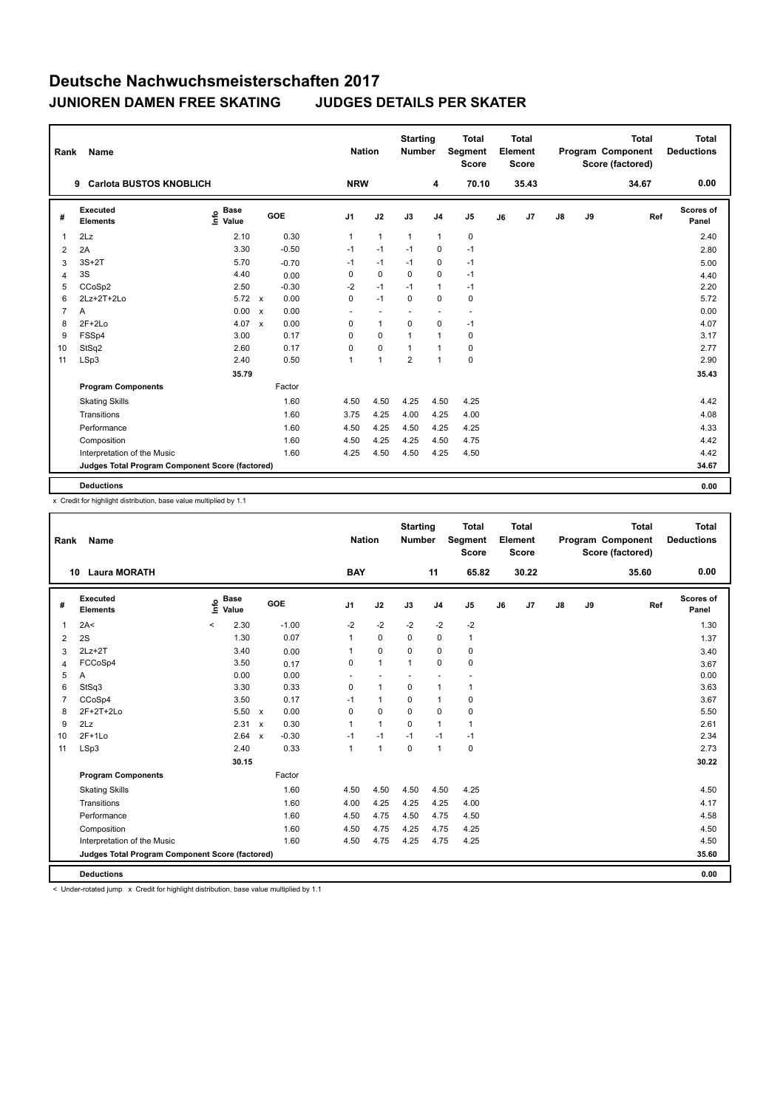| Rank           | <b>Name</b>                                     |                              |                                   | <b>Nation</b>  |                          | <b>Starting</b><br><b>Number</b> |                          | <b>Total</b><br>Segment<br><b>Score</b> |    | <b>Total</b><br>Element<br>Score |               |    | <b>Total</b><br>Program Component<br>Score (factored) | Total<br><b>Deductions</b> |
|----------------|-------------------------------------------------|------------------------------|-----------------------------------|----------------|--------------------------|----------------------------------|--------------------------|-----------------------------------------|----|----------------------------------|---------------|----|-------------------------------------------------------|----------------------------|
|                | <b>Carlota BUSTOS KNOBLICH</b><br>9             |                              |                                   | <b>NRW</b>     |                          |                                  | 4                        | 70.10                                   |    | 35.43                            |               |    | 34.67                                                 | 0.00                       |
| #              | <b>Executed</b><br><b>Elements</b>              | <b>Base</b><br>lnfo<br>Value | GOE                               | J <sub>1</sub> | J2                       | J3                               | J <sub>4</sub>           | J5                                      | J6 | J <sub>7</sub>                   | $\mathsf{J}8$ | J9 | Ref                                                   | Scores of<br>Panel         |
| $\overline{1}$ | 2Lz                                             | 2.10                         | 0.30                              | $\mathbf{1}$   | $\mathbf{1}$             | $\mathbf{1}$                     | $\mathbf{1}$             | 0                                       |    |                                  |               |    |                                                       | 2.40                       |
| 2              | 2A                                              | 3.30                         | $-0.50$                           | $-1$           | $-1$                     | $-1$                             | $\mathbf 0$              | $-1$                                    |    |                                  |               |    |                                                       | 2.80                       |
| 3              | $3S+2T$                                         | 5.70                         | $-0.70$                           | $-1$           | $-1$                     | $-1$                             | $\mathbf 0$              | $-1$                                    |    |                                  |               |    |                                                       | 5.00                       |
| $\overline{4}$ | 3S                                              | 4.40                         | 0.00                              | 0              | $\mathbf 0$              | $\mathbf 0$                      | $\mathbf 0$              | $-1$                                    |    |                                  |               |    |                                                       | 4.40                       |
| 5              | CCoSp2                                          | 2.50                         | $-0.30$                           | $-2$           | $-1$                     | $-1$                             | $\mathbf{1}$             | $-1$                                    |    |                                  |               |    |                                                       | 2.20                       |
| 6              | $2Lz+2T+2Lo$                                    | $5.72 \times$                | 0.00                              | $\Omega$       | $-1$                     | $\Omega$                         | $\mathbf 0$              | 0                                       |    |                                  |               |    |                                                       | 5.72                       |
| $\overline{7}$ | A                                               | 0.00                         | 0.00<br>$\boldsymbol{\mathsf{x}}$ | ٠              | $\overline{\phantom{a}}$ |                                  | $\overline{\phantom{a}}$ | $\overline{\phantom{a}}$                |    |                                  |               |    |                                                       | 0.00                       |
| 8              | $2F+2Lo$                                        | 4.07 $\times$                | 0.00                              | 0              | $\mathbf{1}$             | $\Omega$                         | $\mathbf 0$              | $-1$                                    |    |                                  |               |    |                                                       | 4.07                       |
| 9              | FSSp4                                           | 3.00                         | 0.17                              | 0              | $\mathbf 0$              | $\mathbf{1}$                     | 1                        | 0                                       |    |                                  |               |    |                                                       | 3.17                       |
| 10             | StSq2                                           | 2.60                         | 0.17                              | 0              | $\mathbf 0$              | $\overline{1}$                   | $\overline{1}$           | 0                                       |    |                                  |               |    |                                                       | 2.77                       |
| 11             | LSp3                                            | 2.40                         | 0.50                              | $\mathbf{1}$   | $\mathbf{1}$             | $\overline{2}$                   | $\overline{1}$           | 0                                       |    |                                  |               |    |                                                       | 2.90                       |
|                |                                                 | 35.79                        |                                   |                |                          |                                  |                          |                                         |    |                                  |               |    |                                                       | 35.43                      |
|                | <b>Program Components</b>                       |                              | Factor                            |                |                          |                                  |                          |                                         |    |                                  |               |    |                                                       |                            |
|                | <b>Skating Skills</b>                           |                              | 1.60                              | 4.50           | 4.50                     | 4.25                             | 4.50                     | 4.25                                    |    |                                  |               |    |                                                       | 4.42                       |
|                | Transitions                                     |                              | 1.60                              | 3.75           | 4.25                     | 4.00                             | 4.25                     | 4.00                                    |    |                                  |               |    |                                                       | 4.08                       |
|                | Performance                                     |                              | 1.60                              | 4.50           | 4.25                     | 4.50                             | 4.25                     | 4.25                                    |    |                                  |               |    |                                                       | 4.33                       |
|                | Composition                                     |                              | 1.60                              | 4.50           | 4.25                     | 4.25                             | 4.50                     | 4.75                                    |    |                                  |               |    |                                                       | 4.42                       |
|                | Interpretation of the Music                     |                              | 1.60                              | 4.25           | 4.50                     | 4.50                             | 4.25                     | 4.50                                    |    |                                  |               |    |                                                       | 4.42                       |
|                | Judges Total Program Component Score (factored) |                              |                                   |                |                          |                                  |                          |                                         |    |                                  |               |    |                                                       | 34.67                      |
|                | <b>Deductions</b>                               |                              |                                   |                |                          |                                  |                          |                                         |    |                                  |               |    |                                                       | 0.00                       |

x Credit for highlight distribution, base value multiplied by 1.1

| Rank           | <b>Name</b>                                     |                              |              |         | <b>Nation</b>  |                          | <b>Starting</b><br><b>Number</b> |                | <b>Total</b><br><b>Segment</b><br><b>Score</b> |    | <b>Total</b><br>Element<br><b>Score</b> |               |    | <b>Total</b><br>Program Component<br>Score (factored) | <b>Total</b><br><b>Deductions</b> |
|----------------|-------------------------------------------------|------------------------------|--------------|---------|----------------|--------------------------|----------------------------------|----------------|------------------------------------------------|----|-----------------------------------------|---------------|----|-------------------------------------------------------|-----------------------------------|
| 10             | <b>Laura MORATH</b>                             |                              |              |         | <b>BAY</b>     |                          |                                  | 11             | 65.82                                          |    | 30.22                                   |               |    | 35.60                                                 | 0.00                              |
| #              | Executed<br><b>Elements</b>                     | <b>Base</b><br>١nf٥<br>Value |              | GOE     | J <sub>1</sub> | J2                       | J3                               | J <sub>4</sub> | J <sub>5</sub>                                 | J6 | J7                                      | $\mathsf{J}8$ | J9 | Ref                                                   | Scores of<br>Panel                |
| 1              | 2A<                                             | 2.30<br>$\prec$              |              | $-1.00$ | $-2$           | $-2$                     | $-2$                             | $-2$           | $-2$                                           |    |                                         |               |    |                                                       | 1.30                              |
| 2              | 2S                                              | 1.30                         |              | 0.07    | 1              | $\Omega$                 | $\Omega$                         | $\mathbf 0$    | $\mathbf{1}$                                   |    |                                         |               |    |                                                       | 1.37                              |
| 3              | $2Lz + 2T$                                      | 3.40                         |              | 0.00    | 1              | $\pmb{0}$                | 0                                | 0              | 0                                              |    |                                         |               |    |                                                       | 3.40                              |
| $\overline{4}$ | FCCoSp4                                         | 3.50                         |              | 0.17    | 0              | $\mathbf{1}$             | $\mathbf{1}$                     | $\mathbf 0$    | $\mathbf 0$                                    |    |                                         |               |    |                                                       | 3.67                              |
| 5              | Α                                               | 0.00                         |              | 0.00    |                | $\overline{\phantom{a}}$ |                                  | ÷              |                                                |    |                                         |               |    |                                                       | 0.00                              |
| 6              | StSq3                                           | 3.30                         |              | 0.33    | $\mathbf 0$    | $\mathbf{1}$             | $\mathbf 0$                      | $\mathbf{1}$   | $\mathbf{1}$                                   |    |                                         |               |    |                                                       | 3.63                              |
| $\overline{7}$ | CCoSp4                                          | 3.50                         |              | 0.17    | $-1$           | $\mathbf{1}$             | $\mathbf 0$                      | $\mathbf{1}$   | 0                                              |    |                                         |               |    |                                                       | 3.67                              |
| 8              | 2F+2T+2Lo                                       | 5.50 x                       |              | 0.00    | $\mathbf 0$    | $\mathbf 0$              | $\Omega$                         | $\mathbf 0$    | 0                                              |    |                                         |               |    |                                                       | 5.50                              |
| 9              | 2Lz                                             | 2.31                         | $\mathsf{x}$ | 0.30    | 1              | $\mathbf{1}$             | $\mathbf 0$                      | $\mathbf{1}$   | $\mathbf{1}$                                   |    |                                         |               |    |                                                       | 2.61                              |
| 10             | $2F+1Lo$                                        | 2.64                         | $\mathbf{x}$ | $-0.30$ | $-1$           | $-1$                     | $-1$                             | $-1$           | $-1$                                           |    |                                         |               |    |                                                       | 2.34                              |
| 11             | LSp3                                            | 2.40                         |              | 0.33    | $\mathbf{1}$   | 1                        | $\mathbf 0$                      | $\mathbf{1}$   | 0                                              |    |                                         |               |    |                                                       | 2.73                              |
|                |                                                 | 30.15                        |              |         |                |                          |                                  |                |                                                |    |                                         |               |    |                                                       | 30.22                             |
|                | <b>Program Components</b>                       |                              |              | Factor  |                |                          |                                  |                |                                                |    |                                         |               |    |                                                       |                                   |
|                | <b>Skating Skills</b>                           |                              |              | 1.60    | 4.50           | 4.50                     | 4.50                             | 4.50           | 4.25                                           |    |                                         |               |    |                                                       | 4.50                              |
|                | Transitions                                     |                              |              | 1.60    | 4.00           | 4.25                     | 4.25                             | 4.25           | 4.00                                           |    |                                         |               |    |                                                       | 4.17                              |
|                | Performance                                     |                              |              | 1.60    | 4.50           | 4.75                     | 4.50                             | 4.75           | 4.50                                           |    |                                         |               |    |                                                       | 4.58                              |
|                | Composition                                     |                              |              | 1.60    | 4.50           | 4.75                     | 4.25                             | 4.75           | 4.25                                           |    |                                         |               |    |                                                       | 4.50                              |
|                | Interpretation of the Music                     |                              |              | 1.60    | 4.50           | 4.75                     | 4.25                             | 4.75           | 4.25                                           |    |                                         |               |    |                                                       | 4.50                              |
|                | Judges Total Program Component Score (factored) |                              |              |         |                |                          |                                  |                |                                                |    |                                         |               |    |                                                       | 35.60                             |
|                | <b>Deductions</b>                               |                              |              |         |                |                          |                                  |                |                                                |    |                                         |               |    |                                                       | 0.00                              |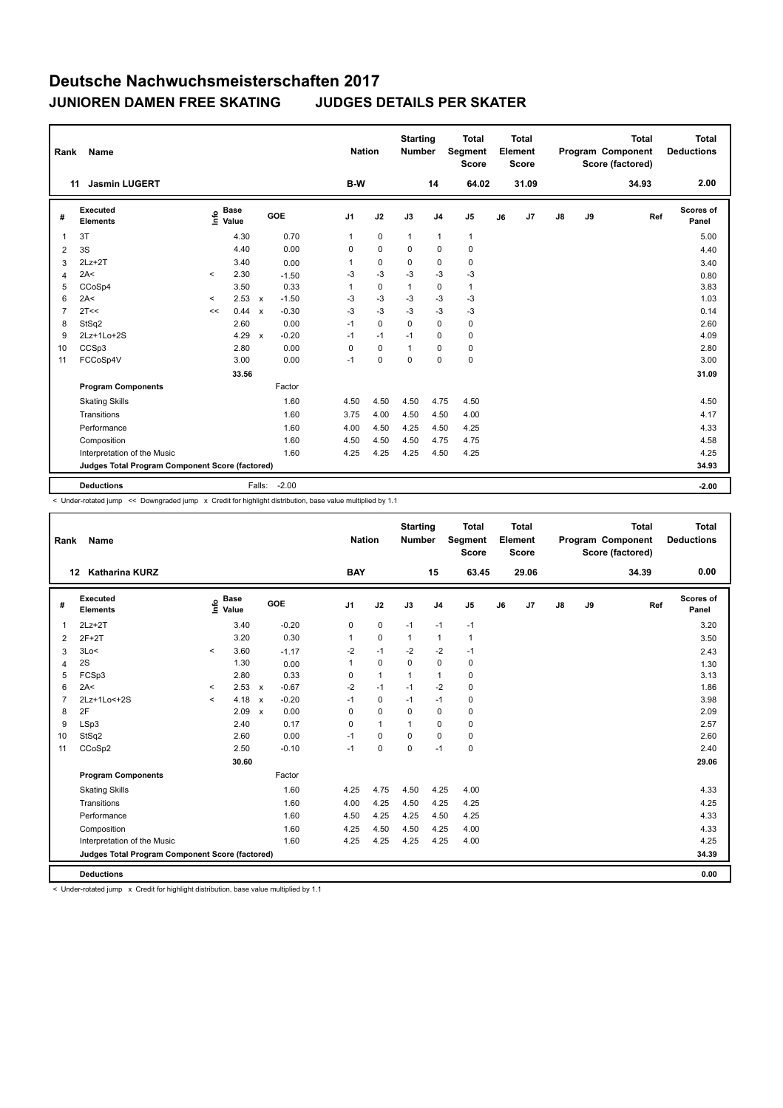| Rank           | Name                                            |         |                      |                           |         |                | <b>Nation</b> |             | <b>Starting</b><br><b>Number</b> |                | <b>Total</b><br>Segment<br><b>Score</b> |    | <b>Total</b><br>Element<br>Score |    |    | <b>Total</b><br>Program Component<br>Score (factored) | <b>Total</b><br><b>Deductions</b> |
|----------------|-------------------------------------------------|---------|----------------------|---------------------------|---------|----------------|---------------|-------------|----------------------------------|----------------|-----------------------------------------|----|----------------------------------|----|----|-------------------------------------------------------|-----------------------------------|
|                | <b>Jasmin LUGERT</b><br>11                      |         |                      |                           |         |                | B-W           |             |                                  | 14             | 64.02                                   |    | 31.09                            |    |    | 34.93                                                 | 2.00                              |
| #              | Executed<br><b>Elements</b>                     | ۴       | <b>Base</b><br>Value |                           | GOE     | J <sub>1</sub> |               | J2          | J3                               | J <sub>4</sub> | J <sub>5</sub>                          | J6 | J7                               | J8 | J9 | Ref                                                   | Scores of<br>Panel                |
| 1              | 3T                                              |         | 4.30                 |                           | 0.70    | $\mathbf{1}$   |               | 0           | $\mathbf{1}$                     | $\mathbf{1}$   | $\mathbf{1}$                            |    |                                  |    |    |                                                       | 5.00                              |
| 2              | 3S                                              |         | 4.40                 |                           | 0.00    | 0              |               | $\mathbf 0$ | 0                                | 0              | 0                                       |    |                                  |    |    |                                                       | 4.40                              |
| 3              | $2Lz+2T$                                        |         | 3.40                 |                           | 0.00    | 1              |               | $\mathbf 0$ | 0                                | 0              | 0                                       |    |                                  |    |    |                                                       | 3.40                              |
| 4              | 2A<                                             | $\prec$ | 2.30                 |                           | $-1.50$ | $-3$           |               | $-3$        | $-3$                             | $-3$           | $-3$                                    |    |                                  |    |    |                                                       | 0.80                              |
| 5              | CCoSp4                                          |         | 3.50                 |                           | 0.33    | 1              |               | $\mathbf 0$ | 1                                | $\mathbf 0$    | $\mathbf{1}$                            |    |                                  |    |    |                                                       | 3.83                              |
| 6              | 2A<                                             | $\prec$ | 2.53                 | $\mathbf{x}$              | $-1.50$ | $-3$           |               | $-3$        | $-3$                             | $-3$           | $-3$                                    |    |                                  |    |    |                                                       | 1.03                              |
| $\overline{7}$ | 2T<<                                            | <<      | 0.44                 | $\boldsymbol{\mathsf{x}}$ | $-0.30$ | $-3$           |               | $-3$        | $-3$                             | $-3$           | $-3$                                    |    |                                  |    |    |                                                       | 0.14                              |
| 8              | StSq2                                           |         | 2.60                 |                           | 0.00    | $-1$           |               | $\mathbf 0$ | 0                                | 0              | 0                                       |    |                                  |    |    |                                                       | 2.60                              |
| 9              | 2Lz+1Lo+2S                                      |         | 4.29                 | $\mathbf{x}$              | $-0.20$ | $-1$           |               | $-1$        | $-1$                             | $\Omega$       | $\pmb{0}$                               |    |                                  |    |    |                                                       | 4.09                              |
| 10             | CCSp3                                           |         | 2.80                 |                           | 0.00    | 0              |               | 0           | 1                                | 0              | 0                                       |    |                                  |    |    |                                                       | 2.80                              |
| 11             | FCCoSp4V                                        |         | 3.00                 |                           | 0.00    | $-1$           |               | 0           | $\Omega$                         | $\Omega$       | $\pmb{0}$                               |    |                                  |    |    |                                                       | 3.00                              |
|                |                                                 |         | 33.56                |                           |         |                |               |             |                                  |                |                                         |    |                                  |    |    |                                                       | 31.09                             |
|                | <b>Program Components</b>                       |         |                      |                           | Factor  |                |               |             |                                  |                |                                         |    |                                  |    |    |                                                       |                                   |
|                | <b>Skating Skills</b>                           |         |                      |                           | 1.60    | 4.50           |               | 4.50        | 4.50                             | 4.75           | 4.50                                    |    |                                  |    |    |                                                       | 4.50                              |
|                | Transitions                                     |         |                      |                           | 1.60    | 3.75           |               | 4.00        | 4.50                             | 4.50           | 4.00                                    |    |                                  |    |    |                                                       | 4.17                              |
|                | Performance                                     |         |                      |                           | 1.60    | 4.00           |               | 4.50        | 4.25                             | 4.50           | 4.25                                    |    |                                  |    |    |                                                       | 4.33                              |
|                | Composition                                     |         |                      |                           | 1.60    | 4.50           |               | 4.50        | 4.50                             | 4.75           | 4.75                                    |    |                                  |    |    |                                                       | 4.58                              |
|                | Interpretation of the Music                     |         |                      |                           | 1.60    | 4.25           |               | 4.25        | 4.25                             | 4.50           | 4.25                                    |    |                                  |    |    |                                                       | 4.25                              |
|                | Judges Total Program Component Score (factored) |         |                      |                           |         |                |               |             |                                  |                |                                         |    |                                  |    |    |                                                       | 34.93                             |
|                | <b>Deductions</b>                               |         |                      | Falls:                    | $-2.00$ |                |               |             |                                  |                |                                         |    |                                  |    |    |                                                       | $-2.00$                           |

< Under-rotated jump << Downgraded jump x Credit for highlight distribution, base value multiplied by 1.1

| Rank           | Name                                            |         |                      |                           |         |                | <b>Nation</b>  | <b>Starting</b><br>Number |                | <b>Total</b><br>Segment<br><b>Score</b> |    | <b>Total</b><br>Element<br>Score |               |    | Total<br>Program Component<br>Score (factored) | Total<br><b>Deductions</b> |
|----------------|-------------------------------------------------|---------|----------------------|---------------------------|---------|----------------|----------------|---------------------------|----------------|-----------------------------------------|----|----------------------------------|---------------|----|------------------------------------------------|----------------------------|
| 12             | <b>Katharina KURZ</b>                           |         |                      |                           |         | <b>BAY</b>     |                |                           | 15             | 63.45                                   |    | 29.06                            |               |    | 34.39                                          | 0.00                       |
| #              | <b>Executed</b><br><b>Elements</b>              | ١nf٥    | <b>Base</b><br>Value |                           | GOE     | J <sub>1</sub> | J2             | J3                        | J <sub>4</sub> | J <sub>5</sub>                          | J6 | J7                               | $\mathsf{J}8$ | J9 | Ref                                            | <b>Scores of</b><br>Panel  |
| 1              | $2Lz+2T$                                        |         | 3.40                 |                           | $-0.20$ | 0              | $\mathbf 0$    | $-1$                      | $-1$           | $-1$                                    |    |                                  |               |    |                                                | 3.20                       |
| 2              | $2F+2T$                                         |         | 3.20                 |                           | 0.30    | 1              | $\mathbf 0$    | $\mathbf{1}$              | $\mathbf{1}$   | $\mathbf{1}$                            |    |                                  |               |    |                                                | 3.50                       |
| 3              | 3Lo<                                            | $\prec$ | 3.60                 |                           | $-1.17$ | -2             | $-1$           | $-2$                      | $-2$           | $-1$                                    |    |                                  |               |    |                                                | 2.43                       |
| 4              | 2S                                              |         | 1.30                 |                           | 0.00    | $\mathbf{1}$   | $\mathbf 0$    | $\Omega$                  | $\mathbf 0$    | $\mathbf 0$                             |    |                                  |               |    |                                                | 1.30                       |
| 5              | FCSp3                                           |         | 2.80                 |                           | 0.33    | 0              | $\mathbf{1}$   | $\mathbf{1}$              | $\mathbf{1}$   | $\mathbf 0$                             |    |                                  |               |    |                                                | 3.13                       |
| 6              | 2A<                                             | $\prec$ | 2.53                 | $\mathsf{x}$              | $-0.67$ | $-2$           | $-1$           | $-1$                      | $-2$           | $\mathbf 0$                             |    |                                  |               |    |                                                | 1.86                       |
| $\overline{7}$ | 2Lz+1Lo<+2S                                     | $\prec$ | 4.18                 | $\boldsymbol{\mathsf{x}}$ | $-0.20$ | $-1$           | $\mathbf 0$    | $-1$                      | $-1$           | $\mathbf 0$                             |    |                                  |               |    |                                                | 3.98                       |
| 8              | 2F                                              |         | 2.09                 | $\boldsymbol{\mathsf{x}}$ | 0.00    | 0              | $\mathbf 0$    | $\mathbf 0$               | $\mathbf 0$    | $\mathbf 0$                             |    |                                  |               |    |                                                | 2.09                       |
| 9              | LSp3                                            |         | 2.40                 |                           | 0.17    | $\Omega$       | $\overline{1}$ | $\mathbf{1}$              | $\mathbf 0$    | $\mathbf 0$                             |    |                                  |               |    |                                                | 2.57                       |
| 10             | StSq2                                           |         | 2.60                 |                           | 0.00    | $-1$           | 0              | $\Omega$                  | 0              | 0                                       |    |                                  |               |    |                                                | 2.60                       |
| 11             | CCoSp2                                          |         | 2.50                 |                           | $-0.10$ | $-1$           | $\mathbf 0$    | $\mathbf 0$               | $-1$           | $\mathbf 0$                             |    |                                  |               |    |                                                | 2.40                       |
|                |                                                 |         | 30.60                |                           |         |                |                |                           |                |                                         |    |                                  |               |    |                                                | 29.06                      |
|                | <b>Program Components</b>                       |         |                      |                           | Factor  |                |                |                           |                |                                         |    |                                  |               |    |                                                |                            |
|                | <b>Skating Skills</b>                           |         |                      |                           | 1.60    | 4.25           | 4.75           | 4.50                      | 4.25           | 4.00                                    |    |                                  |               |    |                                                | 4.33                       |
|                | Transitions                                     |         |                      |                           | 1.60    | 4.00           | 4.25           | 4.50                      | 4.25           | 4.25                                    |    |                                  |               |    |                                                | 4.25                       |
|                | Performance                                     |         |                      |                           | 1.60    | 4.50           | 4.25           | 4.25                      | 4.50           | 4.25                                    |    |                                  |               |    |                                                | 4.33                       |
|                | Composition                                     |         |                      |                           | 1.60    | 4.25           | 4.50           | 4.50                      | 4.25           | 4.00                                    |    |                                  |               |    |                                                | 4.33                       |
|                | Interpretation of the Music                     |         |                      |                           | 1.60    | 4.25           | 4.25           | 4.25                      | 4.25           | 4.00                                    |    |                                  |               |    |                                                | 4.25                       |
|                | Judges Total Program Component Score (factored) |         |                      |                           |         |                |                |                           |                |                                         |    |                                  |               |    |                                                | 34.39                      |
|                | <b>Deductions</b>                               |         |                      |                           |         |                |                |                           |                |                                         |    |                                  |               |    |                                                | 0.00                       |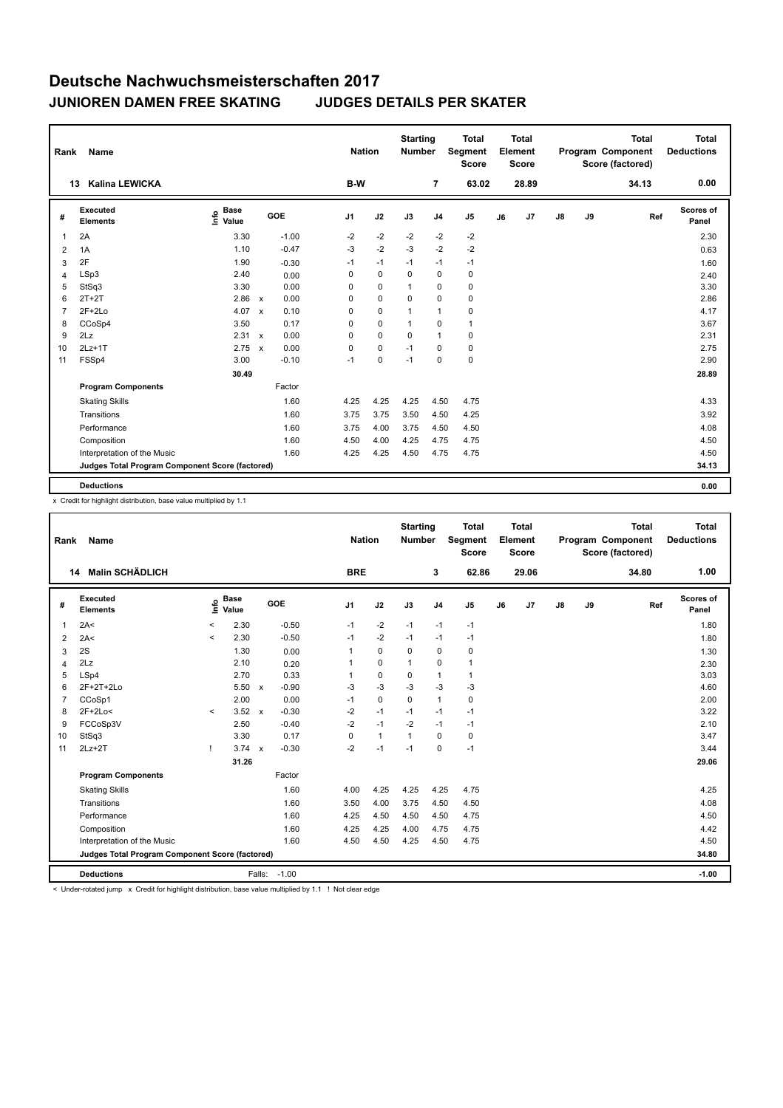| Rank           | Name                                            |                              |                           |         |                | <b>Nation</b> | <b>Starting</b><br><b>Number</b> |                | <b>Total</b><br>Segment<br><b>Score</b> |    | <b>Total</b><br>Element<br><b>Score</b> |    |    | <b>Total</b><br>Program Component<br>Score (factored) | Total<br><b>Deductions</b> |
|----------------|-------------------------------------------------|------------------------------|---------------------------|---------|----------------|---------------|----------------------------------|----------------|-----------------------------------------|----|-----------------------------------------|----|----|-------------------------------------------------------|----------------------------|
|                | <b>Kalina LEWICKA</b><br>13                     |                              |                           |         | B-W            |               |                                  | $\overline{7}$ | 63.02                                   |    | 28.89                                   |    |    | 34.13                                                 | 0.00                       |
| #              | <b>Executed</b><br><b>Elements</b>              | <b>Base</b><br>lnfo<br>Value |                           | GOE     | J <sub>1</sub> | J2            | J3                               | J <sub>4</sub> | J <sub>5</sub>                          | J6 | J7                                      | J8 | J9 | Ref                                                   | <b>Scores of</b><br>Panel  |
| 1              | 2A                                              | 3.30                         |                           | $-1.00$ | $-2$           | $-2$          | $-2$                             | $-2$           | $-2$                                    |    |                                         |    |    |                                                       | 2.30                       |
| 2              | 1A                                              | 1.10                         |                           | $-0.47$ | $-3$           | $-2$          | $-3$                             | $-2$           | $-2$                                    |    |                                         |    |    |                                                       | 0.63                       |
| 3              | 2F                                              | 1.90                         |                           | $-0.30$ | $-1$           | $-1$          | $-1$                             | $-1$           | $-1$                                    |    |                                         |    |    |                                                       | 1.60                       |
| 4              | LSp3                                            | 2.40                         |                           | 0.00    | 0              | 0             | $\Omega$                         | 0              | 0                                       |    |                                         |    |    |                                                       | 2.40                       |
| 5              | StSq3                                           | 3.30                         |                           | 0.00    | 0              | 0             | 1                                | 0              | 0                                       |    |                                         |    |    |                                                       | 3.30                       |
| 6              | $2T+2T$                                         | 2.86                         | $\mathsf{x}$              | 0.00    | 0              | $\mathbf 0$   | $\Omega$                         | $\mathbf 0$    | $\pmb{0}$                               |    |                                         |    |    |                                                       | 2.86                       |
| $\overline{7}$ | $2F+2Lo$                                        | 4.07                         | $\boldsymbol{\mathsf{x}}$ | 0.10    | 0              | $\mathbf 0$   | 1                                | $\mathbf{1}$   | 0                                       |    |                                         |    |    |                                                       | 4.17                       |
| 8              | CCoSp4                                          | 3.50                         |                           | 0.17    | 0              | $\mathbf 0$   | $\mathbf{1}$                     | 0              | $\mathbf{1}$                            |    |                                         |    |    |                                                       | 3.67                       |
| 9              | 2Lz                                             | 2.31                         | $\mathsf{x}$              | 0.00    | 0              | 0             | 0                                | $\mathbf{1}$   | 0                                       |    |                                         |    |    |                                                       | 2.31                       |
| 10             | $2Lz+1T$                                        | 2.75                         | $\mathsf{x}$              | 0.00    | 0              | $\mathbf 0$   | $-1$                             | 0              | 0                                       |    |                                         |    |    |                                                       | 2.75                       |
| 11             | FSSp4                                           | 3.00                         |                           | $-0.10$ | $-1$           | 0             | $-1$                             | $\mathbf 0$    | $\pmb{0}$                               |    |                                         |    |    |                                                       | 2.90                       |
|                |                                                 | 30.49                        |                           |         |                |               |                                  |                |                                         |    |                                         |    |    |                                                       | 28.89                      |
|                | <b>Program Components</b>                       |                              |                           | Factor  |                |               |                                  |                |                                         |    |                                         |    |    |                                                       |                            |
|                | <b>Skating Skills</b>                           |                              |                           | 1.60    | 4.25           | 4.25          | 4.25                             | 4.50           | 4.75                                    |    |                                         |    |    |                                                       | 4.33                       |
|                | Transitions                                     |                              |                           | 1.60    | 3.75           | 3.75          | 3.50                             | 4.50           | 4.25                                    |    |                                         |    |    |                                                       | 3.92                       |
|                | Performance                                     |                              |                           | 1.60    | 3.75           | 4.00          | 3.75                             | 4.50           | 4.50                                    |    |                                         |    |    |                                                       | 4.08                       |
|                | Composition                                     |                              |                           | 1.60    | 4.50           | 4.00          | 4.25                             | 4.75           | 4.75                                    |    |                                         |    |    |                                                       | 4.50                       |
|                | Interpretation of the Music                     |                              |                           | 1.60    | 4.25           | 4.25          | 4.50                             | 4.75           | 4.75                                    |    |                                         |    |    |                                                       | 4.50                       |
|                | Judges Total Program Component Score (factored) |                              |                           |         |                |               |                                  |                |                                         |    |                                         |    |    |                                                       | 34.13                      |
|                | <b>Deductions</b>                               |                              |                           |         |                |               |                                  |                |                                         |    |                                         |    |    |                                                       | 0.00                       |

x Credit for highlight distribution, base value multiplied by 1.1

| <b>Name</b>                 |                                   |       |                                      |               |                                                                                                |              |                                                     |                | <b>Total</b><br><b>Score</b>                 |                                                         | <b>Total</b> |                         |    | <b>Total</b> | Total<br><b>Deductions</b>                   |
|-----------------------------|-----------------------------------|-------|--------------------------------------|---------------|------------------------------------------------------------------------------------------------|--------------|-----------------------------------------------------|----------------|----------------------------------------------|---------------------------------------------------------|--------------|-------------------------|----|--------------|----------------------------------------------|
| <b>Malin SCHÄDLICH</b>      |                                   |       |                                      |               |                                                                                                |              |                                                     | 3              | 62.86                                        |                                                         | 29.06        |                         |    | 34.80        | 1.00                                         |
| Executed<br><b>Elements</b> | lnfo                              |       |                                      |               | J1                                                                                             | J2           | J3                                                  | J <sub>4</sub> | J5                                           | J6                                                      | J7           | $\mathsf{J}8$           | J9 |              | Scores of<br>Panel                           |
| 2A<                         | $\,<$                             | 2.30  |                                      | $-0.50$       | $-1$                                                                                           | $-2$         | $-1$                                                | $-1$           | $-1$                                         |                                                         |              |                         |    |              | 1.80                                         |
| 2A<                         | $\prec$                           | 2.30  |                                      | $-0.50$       | $-1$                                                                                           | $-2$         | $-1$                                                | $-1$           | $-1$                                         |                                                         |              |                         |    |              | 1.80                                         |
| 2S                          |                                   | 1.30  |                                      | 0.00          | 1                                                                                              | $\mathbf 0$  | $\Omega$                                            | 0              | 0                                            |                                                         |              |                         |    |              | 1.30                                         |
| 2Lz                         |                                   | 2.10  |                                      | 0.20          | 1                                                                                              | $\mathbf 0$  | $\mathbf{1}$                                        | $\mathbf 0$    | $\mathbf{1}$                                 |                                                         |              |                         |    |              | 2.30                                         |
| LSp4                        |                                   | 2.70  |                                      | 0.33          | $\mathbf{1}$                                                                                   | $\Omega$     | $\Omega$                                            | $\mathbf{1}$   | $\mathbf{1}$                                 |                                                         |              |                         |    |              | 3.03                                         |
| 2F+2T+2Lo                   |                                   | 5.50  | $\mathbf{x}$                         | $-0.90$       | $-3$                                                                                           | $-3$         | $-3$                                                | $-3$           | $-3$                                         |                                                         |              |                         |    |              | 4.60                                         |
| CCoSp1                      |                                   | 2.00  |                                      | 0.00          | $-1$                                                                                           | $\mathbf 0$  | $\Omega$                                            | $\mathbf{1}$   | $\pmb{0}$                                    |                                                         |              |                         |    |              | 2.00                                         |
| $2F+2Lo<$                   | $\prec$                           | 3.52  | $\mathsf{x}$                         | $-0.30$       | $-2$                                                                                           | $-1$         | $-1$                                                | $-1$           | $-1$                                         |                                                         |              |                         |    |              | 3.22                                         |
| FCCoSp3V                    |                                   |       |                                      |               |                                                                                                | $-1$         |                                                     | $-1$           | $-1$                                         |                                                         |              |                         |    |              | 2.10                                         |
|                             |                                   |       |                                      |               | 0                                                                                              |              | $\mathbf{1}$                                        | $\mathbf 0$    | $\mathbf 0$                                  |                                                         |              |                         |    |              | 3.47                                         |
|                             |                                   |       |                                      |               |                                                                                                |              |                                                     |                |                                              |                                                         |              |                         |    |              | 3.44                                         |
|                             |                                   | 31.26 |                                      |               |                                                                                                |              |                                                     |                |                                              |                                                         |              |                         |    |              | 29.06                                        |
| <b>Program Components</b>   |                                   |       |                                      | Factor        |                                                                                                |              |                                                     |                |                                              |                                                         |              |                         |    |              |                                              |
| <b>Skating Skills</b>       |                                   |       |                                      | 1.60          | 4.00                                                                                           | 4.25         | 4.25                                                |                | 4.75                                         |                                                         |              |                         |    |              | 4.25                                         |
| Transitions                 |                                   |       |                                      | 1.60          | 3.50                                                                                           | 4.00         | 3.75                                                |                | 4.50                                         |                                                         |              |                         |    |              | 4.08                                         |
| Performance                 |                                   |       |                                      | 1.60          | 4.25                                                                                           | 4.50         | 4.50                                                |                | 4.75                                         |                                                         |              |                         |    |              | 4.50                                         |
| Composition                 |                                   |       |                                      | 1.60          | 4.25                                                                                           | 4.25         | 4.00                                                |                | 4.75                                         |                                                         |              |                         |    |              | 4.42                                         |
| Interpretation of the Music |                                   |       |                                      | 1.60          | 4.50                                                                                           | 4.50         | 4.25                                                |                | 4.75                                         |                                                         |              |                         |    |              | 4.50                                         |
|                             |                                   |       |                                      |               |                                                                                                |              |                                                     |                |                                              |                                                         |              |                         |    | 34.80        |                                              |
| <b>Deductions</b>           |                                   |       |                                      | $-1.00$       |                                                                                                |              |                                                     |                |                                              |                                                         |              |                         |    |              | $-1.00$                                      |
|                             | Rank<br>14<br>StSq3<br>$2Lz + 2T$ |       | <b>Base</b><br>Value<br>2.50<br>3.30 | 3.74 $\times$ | GOE<br>$-0.40$<br>0.17<br>$-0.30$<br>Judges Total Program Component Score (factored)<br>Falls: | $-2$<br>$-2$ | <b>Nation</b><br><b>BRE</b><br>$\mathbf{1}$<br>$-1$ | $-2$<br>$-1$   | <b>Starting</b><br><b>Number</b><br>$\Omega$ | Segment<br>$-1$<br>4.25<br>4.50<br>4.50<br>4.75<br>4.50 |              | Element<br><b>Score</b> |    |              | Program Component<br>Score (factored)<br>Ref |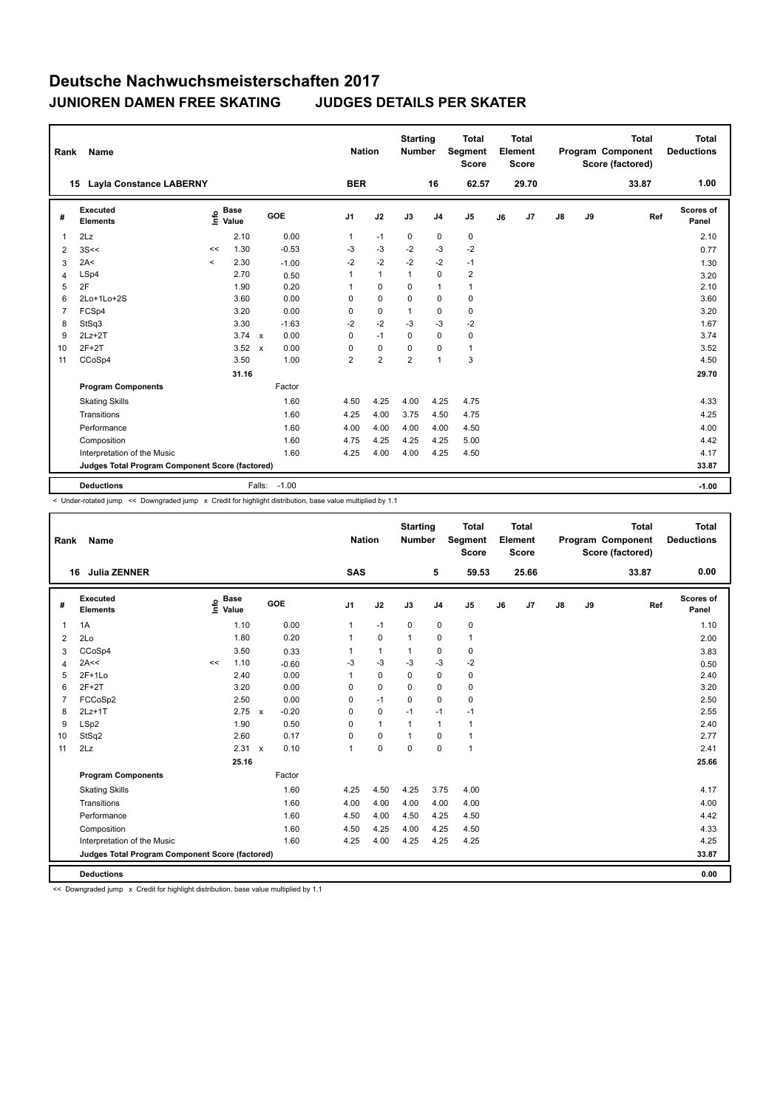| Rank           | Name                                            |       |                      |                           |         | <b>Nation</b>  | <b>Starting</b><br><b>Number</b> |              | <b>Total</b><br>Segment<br><b>Score</b> |                | <b>Total</b><br>Element<br>Score |       |    | <b>Total</b><br>Program Component<br>Score (factored) | <b>Total</b><br><b>Deductions</b> |                    |
|----------------|-------------------------------------------------|-------|----------------------|---------------------------|---------|----------------|----------------------------------|--------------|-----------------------------------------|----------------|----------------------------------|-------|----|-------------------------------------------------------|-----------------------------------|--------------------|
|                | <b>Layla Constance LABERNY</b><br>15            |       |                      |                           |         | <b>BER</b>     |                                  |              | 16                                      | 62.57          |                                  | 29.70 |    |                                                       | 33.87                             | 1.00               |
| #              | Executed<br><b>Elements</b>                     | ۴ê    | <b>Base</b><br>Value |                           | GOE     | J <sub>1</sub> | J2                               | J3           | J <sub>4</sub>                          | J <sub>5</sub> | J6                               | J7    | J8 | J9                                                    | Ref                               | Scores of<br>Panel |
| 1              | 2Lz                                             |       | 2.10                 |                           | 0.00    | $\mathbf{1}$   | $-1$                             | $\mathbf 0$  | 0                                       | $\pmb{0}$      |                                  |       |    |                                                       |                                   | 2.10               |
| 2              | 3S<<                                            | <<    | 1.30                 |                           | $-0.53$ | $-3$           | $-3$                             | $-2$         | -3                                      | $-2$           |                                  |       |    |                                                       |                                   | 0.77               |
| 3              | 2A<                                             | $\,<$ | 2.30                 |                           | $-1.00$ | $-2$           | $-2$                             | $-2$         | $-2$                                    | $-1$           |                                  |       |    |                                                       |                                   | 1.30               |
| 4              | LSp4                                            |       | 2.70                 |                           | 0.50    | $\mathbf{1}$   | $\mathbf{1}$                     | $\mathbf{1}$ | 0                                       | $\overline{2}$ |                                  |       |    |                                                       |                                   | 3.20               |
| 5              | 2F                                              |       | 1.90                 |                           | 0.20    | 1              | $\mathbf 0$                      | $\Omega$     | $\mathbf{1}$                            | $\mathbf{1}$   |                                  |       |    |                                                       |                                   | 2.10               |
| 6              | 2Lo+1Lo+2S                                      |       | 3.60                 |                           | 0.00    | 0              | $\mathbf 0$                      | $\Omega$     | $\mathbf 0$                             | $\pmb{0}$      |                                  |       |    |                                                       |                                   | 3.60               |
| $\overline{7}$ | FCSp4                                           |       | 3.20                 |                           | 0.00    | 0              | $\mathbf 0$                      | 1            | $\mathbf 0$                             | $\mathbf 0$    |                                  |       |    |                                                       |                                   | 3.20               |
| 8              | StSq3                                           |       | 3.30                 |                           | $-1.63$ | $-2$           | $-2$                             | $-3$         | $-3$                                    | $-2$           |                                  |       |    |                                                       |                                   | 1.67               |
| 9              | $2Lz+2T$                                        |       | $3.74 \times$        |                           | 0.00    | 0              | $-1$                             | $\Omega$     | $\Omega$                                | $\pmb{0}$      |                                  |       |    |                                                       |                                   | 3.74               |
| 10             | $2F+2T$                                         |       | 3.52                 | $\boldsymbol{\mathsf{x}}$ | 0.00    | 0              | 0                                | $\Omega$     | 0                                       | $\mathbf{1}$   |                                  |       |    |                                                       |                                   | 3.52               |
| 11             | CCoSp4                                          |       | 3.50                 |                           | 1.00    | 2              | $\overline{2}$                   | 2            | $\overline{1}$                          | 3              |                                  |       |    |                                                       |                                   | 4.50               |
|                |                                                 |       | 31.16                |                           |         |                |                                  |              |                                         |                |                                  |       |    |                                                       |                                   | 29.70              |
|                | <b>Program Components</b>                       |       |                      |                           | Factor  |                |                                  |              |                                         |                |                                  |       |    |                                                       |                                   |                    |
|                | <b>Skating Skills</b>                           |       |                      |                           | 1.60    | 4.50           | 4.25                             | 4.00         | 4.25                                    | 4.75           |                                  |       |    |                                                       |                                   | 4.33               |
|                | Transitions                                     |       |                      |                           | 1.60    | 4.25           | 4.00                             | 3.75         | 4.50                                    | 4.75           |                                  |       |    |                                                       |                                   | 4.25               |
|                | Performance                                     |       |                      |                           | 1.60    | 4.00           | 4.00                             | 4.00         | 4.00                                    | 4.50           |                                  |       |    |                                                       |                                   | 4.00               |
|                | Composition                                     |       |                      |                           | 1.60    | 4.75           | 4.25                             | 4.25         | 4.25                                    | 5.00           |                                  |       |    |                                                       |                                   | 4.42               |
|                | Interpretation of the Music                     |       |                      |                           | 1.60    | 4.25           | 4.00                             | 4.00         | 4.25                                    | 4.50           |                                  |       |    |                                                       |                                   | 4.17               |
|                | Judges Total Program Component Score (factored) |       |                      |                           |         |                |                                  |              |                                         |                |                                  |       |    |                                                       |                                   | 33.87              |
|                | <b>Deductions</b>                               |       |                      | Falls:                    | $-1.00$ |                |                                  |              |                                         |                |                                  |       |    |                                                       |                                   | $-1.00$            |

< Under-rotated jump << Downgraded jump x Credit for highlight distribution, base value multiplied by 1.1

| Rank           | Name                                            |      |                      |                           |         | <b>Nation</b>  |                | <b>Starting</b><br>Number |                | <b>Total</b><br>Segment<br><b>Score</b> |    | <b>Total</b><br>Element<br>Score |               |    | Total<br>Program Component<br>Score (factored) |     | Total<br><b>Deductions</b> |
|----------------|-------------------------------------------------|------|----------------------|---------------------------|---------|----------------|----------------|---------------------------|----------------|-----------------------------------------|----|----------------------------------|---------------|----|------------------------------------------------|-----|----------------------------|
|                | <b>Julia ZENNER</b><br>16                       |      |                      |                           |         | <b>SAS</b>     |                |                           | 5              | 59.53                                   |    | 25.66                            |               |    | 33.87                                          |     | 0.00                       |
| #              | <b>Executed</b><br><b>Elements</b>              | ١nf٥ | <b>Base</b><br>Value |                           | GOE     | J <sub>1</sub> | J2             | J3                        | J <sub>4</sub> | J <sub>5</sub>                          | J6 | J7                               | $\mathsf{J}8$ | J9 |                                                | Ref | <b>Scores of</b><br>Panel  |
| 1              | 1A                                              |      | 1.10                 |                           | 0.00    | 1              | $-1$           | 0                         | $\pmb{0}$      | 0                                       |    |                                  |               |    |                                                |     | 1.10                       |
| 2              | 2Lo                                             |      | 1.80                 |                           | 0.20    | 1              | $\mathbf 0$    | $\overline{1}$            | 0              | $\mathbf{1}$                            |    |                                  |               |    |                                                |     | 2.00                       |
| 3              | CCoSp4                                          |      | 3.50                 |                           | 0.33    |                | $\mathbf{1}$   | 1                         | 0              | 0                                       |    |                                  |               |    |                                                |     | 3.83                       |
| 4              | 2A<<                                            | <<   | 1.10                 |                           | $-0.60$ | $-3$           | $-3$           | $-3$                      | $-3$           | $-2$                                    |    |                                  |               |    |                                                |     | 0.50                       |
| 5              | $2F+1Lo$                                        |      | 2.40                 |                           | 0.00    | 1              | $\mathbf 0$    | 0                         | $\mathbf 0$    | $\mathbf 0$                             |    |                                  |               |    |                                                |     | 2.40                       |
| 6              | $2F+2T$                                         |      | 3.20                 |                           | 0.00    | 0              | $\mathbf 0$    | $\Omega$                  | $\mathbf 0$    | $\mathbf 0$                             |    |                                  |               |    |                                                |     | 3.20                       |
| $\overline{7}$ | FCCoSp2                                         |      | 2.50                 |                           | 0.00    | 0              | $-1$           | $\mathbf 0$               | $\mathbf 0$    | $\mathbf 0$                             |    |                                  |               |    |                                                |     | 2.50                       |
| 8              | $2Lz+1T$                                        |      | 2.75                 | $\boldsymbol{\mathsf{x}}$ | $-0.20$ | 0              | $\mathbf 0$    | $-1$                      | $-1$           | $-1$                                    |    |                                  |               |    |                                                |     | 2.55                       |
| 9              | LSp2                                            |      | 1.90                 |                           | 0.50    | 0              | $\overline{1}$ | $\mathbf{1}$              | $\mathbf{1}$   | $\mathbf{1}$                            |    |                                  |               |    |                                                |     | 2.40                       |
| 10             | StSq2                                           |      | 2.60                 |                           | 0.17    | 0              | 0              | $\overline{1}$            | 0              | $\mathbf{1}$                            |    |                                  |               |    |                                                |     | 2.77                       |
| 11             | 2Lz                                             |      | 2.31                 | $\mathsf{x}$              | 0.10    | $\overline{1}$ | $\mathbf 0$    | $\mathbf 0$               | $\mathbf 0$    | $\mathbf{1}$                            |    |                                  |               |    |                                                |     | 2.41                       |
|                |                                                 |      | 25.16                |                           |         |                |                |                           |                |                                         |    |                                  |               |    |                                                |     | 25.66                      |
|                | <b>Program Components</b>                       |      |                      |                           | Factor  |                |                |                           |                |                                         |    |                                  |               |    |                                                |     |                            |
|                | <b>Skating Skills</b>                           |      |                      |                           | 1.60    | 4.25           | 4.50           | 4.25                      | 3.75           | 4.00                                    |    |                                  |               |    |                                                |     | 4.17                       |
|                | Transitions                                     |      |                      |                           | 1.60    | 4.00           | 4.00           | 4.00                      | 4.00           | 4.00                                    |    |                                  |               |    |                                                |     | 4.00                       |
|                | Performance                                     |      |                      |                           | 1.60    | 4.50           | 4.00           | 4.50                      | 4.25           | 4.50                                    |    |                                  |               |    |                                                |     | 4.42                       |
|                | Composition                                     |      |                      |                           | 1.60    | 4.50           | 4.25           | 4.00                      | 4.25           | 4.50                                    |    |                                  |               |    |                                                |     | 4.33                       |
|                | Interpretation of the Music                     |      |                      |                           | 1.60    | 4.25           | 4.00           | 4.25                      | 4.25           | 4.25                                    |    |                                  |               |    |                                                |     | 4.25                       |
|                | Judges Total Program Component Score (factored) |      |                      |                           |         |                |                |                           |                |                                         |    |                                  |               |    |                                                |     | 33.87                      |
|                | <b>Deductions</b>                               |      |                      |                           |         |                |                |                           |                |                                         |    |                                  |               |    |                                                |     | 0.00                       |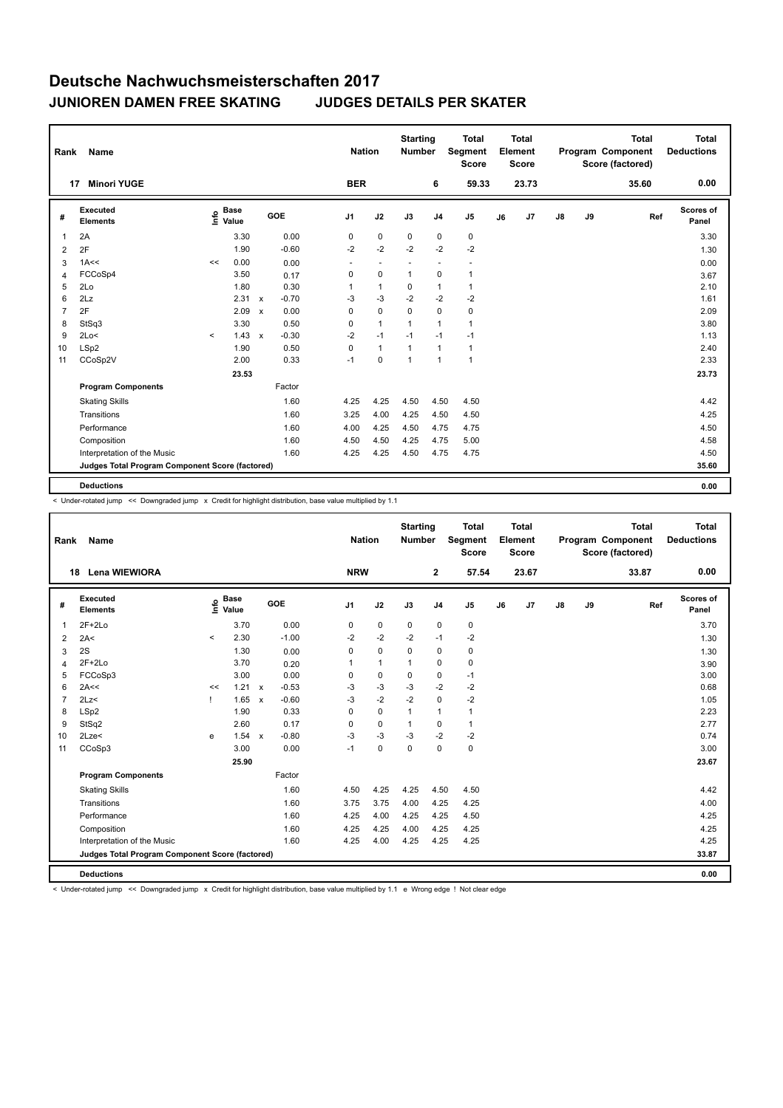| Rank                    | <b>Name</b>                                     |         |                      |              |            |                | <b>Nation</b> |              | <b>Starting</b><br><b>Number</b> |                | <b>Total</b><br>Segment<br><b>Score</b> |    | <b>Total</b><br>Element<br><b>Score</b> |               |    | <b>Total</b><br>Program Component<br>Score (factored) | <b>Total</b><br><b>Deductions</b> |
|-------------------------|-------------------------------------------------|---------|----------------------|--------------|------------|----------------|---------------|--------------|----------------------------------|----------------|-----------------------------------------|----|-----------------------------------------|---------------|----|-------------------------------------------------------|-----------------------------------|
|                         | <b>Minori YUGE</b><br>17                        |         |                      |              |            |                | <b>BER</b>    |              |                                  | 6              | 59.33                                   |    | 23.73                                   |               |    | 35.60                                                 | 0.00                              |
| #                       | Executed<br><b>Elements</b>                     | lnfo    | <b>Base</b><br>Value |              | <b>GOE</b> | J1             |               | J2           | J3                               | J <sub>4</sub> | J <sub>5</sub>                          | J6 | J <sub>7</sub>                          | $\mathsf{J}8$ | J9 | Ref                                                   | Scores of<br>Panel                |
|                         | 2A                                              |         | 3.30                 |              | 0.00       | 0              |               | $\pmb{0}$    | 0                                | 0              | 0                                       |    |                                         |               |    |                                                       | 3.30                              |
| $\overline{2}$          | 2F                                              |         | 1.90                 |              | $-0.60$    |                | $-2$          | $-2$         | $-2$                             | $-2$           | $-2$                                    |    |                                         |               |    |                                                       | 1.30                              |
| 3                       | 1A<<                                            | <<      | 0.00                 |              | 0.00       |                |               | ٠            |                                  |                |                                         |    |                                         |               |    |                                                       | 0.00                              |
| $\overline{\mathbf{A}}$ | FCCoSp4                                         |         | 3.50                 |              | 0.17       | 0              |               | $\mathbf 0$  | $\mathbf{1}$                     | $\Omega$       | $\mathbf{1}$                            |    |                                         |               |    |                                                       | 3.67                              |
| 5                       | 2Lo                                             |         | 1.80                 |              | 0.30       | $\overline{1}$ |               | $\mathbf{1}$ | $\mathbf 0$                      | 1              | $\mathbf{1}$                            |    |                                         |               |    |                                                       | 2.10                              |
| 6                       | 2Lz                                             |         | 2.31                 | $\mathsf{x}$ | $-0.70$    | $-3$           |               | $-3$         | $-2$                             | $-2$           | $-2$                                    |    |                                         |               |    |                                                       | 1.61                              |
| 7                       | 2F                                              |         | 2.09                 | $\mathsf{x}$ | 0.00       | $\mathbf 0$    |               | $\mathbf 0$  | $\mathbf 0$                      | $\Omega$       | $\mathbf 0$                             |    |                                         |               |    |                                                       | 2.09                              |
| 8                       | StSq3                                           |         | 3.30                 |              | 0.50       | $\mathbf 0$    |               | $\mathbf{1}$ | $\overline{1}$                   | 1              | $\mathbf{1}$                            |    |                                         |               |    |                                                       | 3.80                              |
| 9                       | 2Lo<                                            | $\prec$ | 1.43                 | $\mathbf{x}$ | $-0.30$    |                | $-2$          | $-1$         | $-1$                             | $-1$           | $-1$                                    |    |                                         |               |    |                                                       | 1.13                              |
| 10                      | LSp2                                            |         | 1.90                 |              | 0.50       | $\mathbf 0$    |               | $\mathbf{1}$ | $\overline{1}$                   | 1              | $\mathbf{1}$                            |    |                                         |               |    |                                                       | 2.40                              |
| 11                      | CCoSp2V                                         |         | 2.00                 |              | 0.33       | $-1$           |               | $\mathbf 0$  | $\overline{1}$                   |                | $\mathbf{1}$                            |    |                                         |               |    |                                                       | 2.33                              |
|                         |                                                 |         | 23.53                |              |            |                |               |              |                                  |                |                                         |    |                                         |               |    |                                                       | 23.73                             |
|                         | <b>Program Components</b>                       |         |                      |              | Factor     |                |               |              |                                  |                |                                         |    |                                         |               |    |                                                       |                                   |
|                         | <b>Skating Skills</b>                           |         |                      |              | 1.60       |                | 4.25          | 4.25         | 4.50                             | 4.50           | 4.50                                    |    |                                         |               |    |                                                       | 4.42                              |
|                         | Transitions                                     |         |                      |              | 1.60       |                | 3.25          | 4.00         | 4.25                             | 4.50           | 4.50                                    |    |                                         |               |    |                                                       | 4.25                              |
|                         | Performance                                     |         |                      |              | 1.60       |                | 4.00          | 4.25         | 4.50                             | 4.75           | 4.75                                    |    |                                         |               |    |                                                       | 4.50                              |
|                         | Composition                                     |         |                      |              | 1.60       |                | 4.50          | 4.50         | 4.25                             | 4.75           | 5.00                                    |    |                                         |               |    |                                                       | 4.58                              |
|                         | Interpretation of the Music                     |         |                      |              | 1.60       |                | 4.25          | 4.25         | 4.50                             | 4.75           | 4.75                                    |    |                                         |               |    |                                                       | 4.50                              |
|                         | Judges Total Program Component Score (factored) |         |                      |              |            |                |               |              |                                  |                |                                         |    |                                         |               |    |                                                       | 35.60                             |
|                         |                                                 |         |                      |              |            |                |               |              |                                  |                |                                         |    |                                         |               |    |                                                       | 0.00                              |
|                         | <b>Deductions</b>                               |         |                      |              |            |                |               |              |                                  |                |                                         |    |                                         |               |    |                                                       |                                   |

< Under-rotated jump << Downgraded jump x Credit for highlight distribution, base value multiplied by 1.1

| Rank | Name                                            |          |                      |              |            | <b>Nation</b>  |              | <b>Starting</b><br><b>Number</b> |                | <b>Total</b><br><b>Segment</b><br><b>Score</b> |    | <b>Total</b><br>Element<br><b>Score</b> |               |    | <b>Total</b><br>Program Component<br>Score (factored) | <b>Total</b><br><b>Deductions</b> |
|------|-------------------------------------------------|----------|----------------------|--------------|------------|----------------|--------------|----------------------------------|----------------|------------------------------------------------|----|-----------------------------------------|---------------|----|-------------------------------------------------------|-----------------------------------|
|      | <b>Lena WIEWIORA</b><br>18                      |          |                      |              |            | <b>NRW</b>     |              |                                  | 2              | 57.54                                          |    | 23.67                                   |               |    | 33.87                                                 | 0.00                              |
| #    | Executed<br><b>Elements</b>                     | lnfo     | <b>Base</b><br>Value |              | <b>GOE</b> | J <sub>1</sub> | J2           | J3                               | J <sub>4</sub> | J5                                             | J6 | J7                                      | $\mathsf{J}8$ | J9 | Ref                                                   | Scores of<br>Panel                |
| 1    | $2F+2Lo$                                        |          | 3.70                 |              | 0.00       | 0              | $\mathbf 0$  | 0                                | $\mathbf 0$    | $\mathbf 0$                                    |    |                                         |               |    |                                                       | 3.70                              |
| 2    | 2A<                                             | $\hat{}$ | 2.30                 |              | $-1.00$    | $-2$           | $-2$         | $-2$                             | $-1$           | $-2$                                           |    |                                         |               |    |                                                       | 1.30                              |
| 3    | 2S                                              |          | 1.30                 |              | 0.00       | 0              | $\mathbf 0$  | 0                                | 0              | 0                                              |    |                                         |               |    |                                                       | 1.30                              |
| 4    | $2F+2Lo$                                        |          | 3.70                 |              | 0.20       | 1              | $\mathbf{1}$ | 1                                | $\mathbf 0$    | 0                                              |    |                                         |               |    |                                                       | 3.90                              |
| 5    | FCCoSp3                                         |          | 3.00                 |              | 0.00       | 0              | $\pmb{0}$    | $\Omega$                         | $\pmb{0}$      | $-1$                                           |    |                                         |               |    |                                                       | 3.00                              |
| 6    | 2A<<                                            | <<       | 1.21                 | $\mathsf{x}$ | $-0.53$    | $-3$           | $-3$         | $-3$                             | $-2$           | $-2$                                           |    |                                         |               |    |                                                       | 0.68                              |
| 7    | 2Lz                                             | -1       | 1.65                 | $\mathsf{x}$ | $-0.60$    | $-3$           | $-2$         | $-2$                             | $\mathbf 0$    | $-2$                                           |    |                                         |               |    |                                                       | 1.05                              |
| 8    | LSp2                                            |          | 1.90                 |              | 0.33       | 0              | $\mathbf 0$  | 1                                | $\mathbf{1}$   | $\mathbf{1}$                                   |    |                                         |               |    |                                                       | 2.23                              |
| 9    | StSq2                                           |          | 2.60                 |              | 0.17       | 0              | $\mathbf 0$  | $\overline{1}$                   | $\mathbf 0$    | $\mathbf{1}$                                   |    |                                         |               |    |                                                       | 2.77                              |
| 10   | 2Lze<                                           | e        | 1.54                 | X            | $-0.80$    | $-3$           | $-3$         | -3                               | $-2$           | $-2$                                           |    |                                         |               |    |                                                       | 0.74                              |
| 11   | CCoSp3                                          |          | 3.00                 |              | 0.00       | $-1$           | $\mathbf 0$  | $\mathbf 0$                      | $\mathbf 0$    | $\mathbf 0$                                    |    |                                         |               |    |                                                       | 3.00                              |
|      |                                                 |          | 25.90                |              |            |                |              |                                  |                |                                                |    |                                         |               |    |                                                       | 23.67                             |
|      | <b>Program Components</b>                       |          |                      |              | Factor     |                |              |                                  |                |                                                |    |                                         |               |    |                                                       |                                   |
|      | <b>Skating Skills</b>                           |          |                      |              | 1.60       | 4.50           | 4.25         | 4.25                             | 4.50           | 4.50                                           |    |                                         |               |    |                                                       | 4.42                              |
|      | Transitions                                     |          |                      |              | 1.60       | 3.75           | 3.75         | 4.00                             | 4.25           | 4.25                                           |    |                                         |               |    |                                                       | 4.00                              |
|      | Performance                                     |          |                      |              | 1.60       | 4.25           | 4.00         | 4.25                             | 4.25           | 4.50                                           |    |                                         |               |    |                                                       | 4.25                              |
|      | Composition                                     |          |                      |              | 1.60       | 4.25           | 4.25         | 4.00                             | 4.25           | 4.25                                           |    |                                         |               |    |                                                       | 4.25                              |
|      | Interpretation of the Music                     |          |                      |              | 1.60       | 4.25           | 4.00         | 4.25                             | 4.25           | 4.25                                           |    |                                         |               |    |                                                       | 4.25                              |
|      | Judges Total Program Component Score (factored) |          |                      |              |            |                |              |                                  |                |                                                |    |                                         |               |    |                                                       | 33.87                             |
|      | <b>Deductions</b>                               |          |                      |              |            |                |              |                                  |                |                                                |    |                                         |               |    |                                                       | 0.00                              |

< Under-rotated jump << Downgraded jump x Credit for highlight distribution, base value multiplied by 1.1 e Wrong edge ! Not clear edge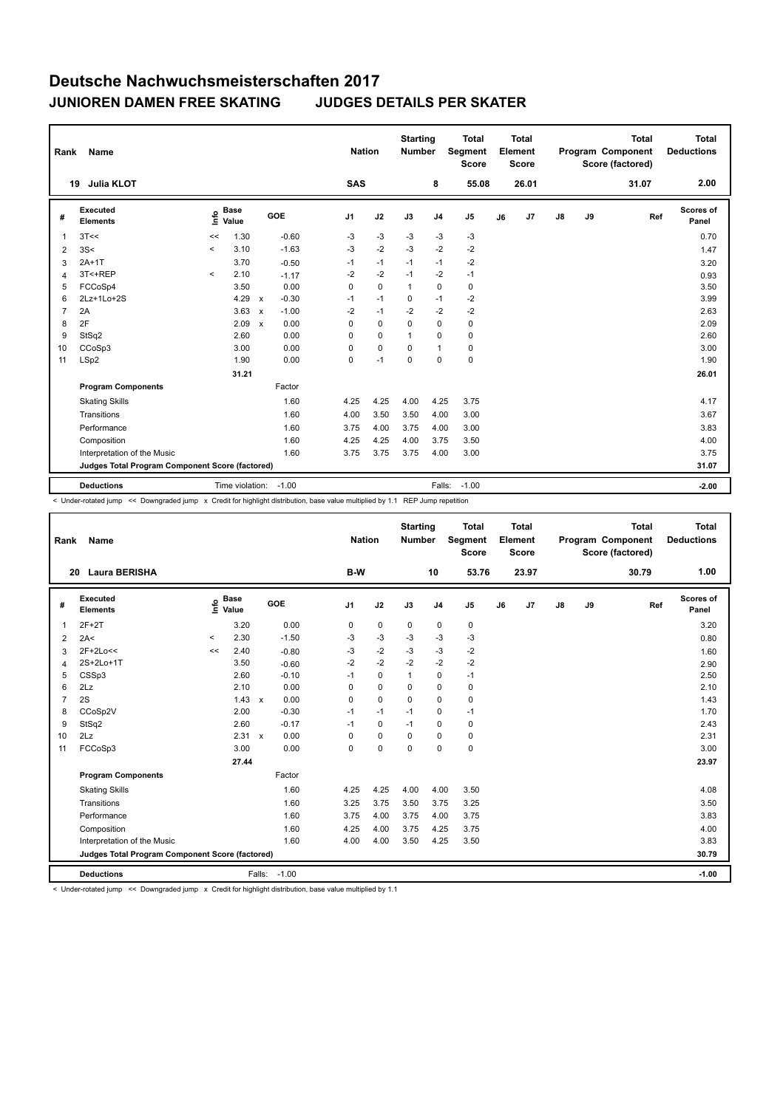| Rank           | Name                                            |         | <b>Nation</b>        | <b>Starting</b><br><b>Number</b> |         | <b>Total</b><br>Segment<br><b>Score</b> |             | Total<br>Element<br>Score |                |                | <b>Total</b><br>Program Component<br>Score (factored) | Total<br><b>Deductions</b> |    |    |       |                    |
|----------------|-------------------------------------------------|---------|----------------------|----------------------------------|---------|-----------------------------------------|-------------|---------------------------|----------------|----------------|-------------------------------------------------------|----------------------------|----|----|-------|--------------------|
|                | Julia KLOT<br>19                                |         |                      |                                  |         | <b>SAS</b>                              |             |                           | 8              | 55.08          |                                                       | 26.01                      |    |    | 31.07 | 2.00               |
| #              | Executed<br><b>Elements</b>                     | ۴ê      | <b>Base</b><br>Value |                                  | GOE     | J <sub>1</sub>                          | J2          | J3                        | J <sub>4</sub> | J <sub>5</sub> | J6                                                    | J7                         | J8 | J9 | Ref   | Scores of<br>Panel |
| 1              | 3T<<                                            | <<      | 1.30                 |                                  | $-0.60$ | $-3$                                    | $-3$        | $-3$                      | $-3$           | $-3$           |                                                       |                            |    |    |       | 0.70               |
| 2              | 3S<                                             | $\prec$ | 3.10                 |                                  | $-1.63$ | $-3$                                    | $-2$        | $-3$                      | $-2$           | $-2$           |                                                       |                            |    |    |       | 1.47               |
| 3              | $2A+1T$                                         |         | 3.70                 |                                  | $-0.50$ | $-1$                                    | $-1$        | $-1$                      | $-1$           | $-2$           |                                                       |                            |    |    |       | 3.20               |
| 4              | 3T<+REP                                         | $\prec$ | 2.10                 |                                  | $-1.17$ | $-2$                                    | $-2$        | $-1$                      | $-2$           | $-1$           |                                                       |                            |    |    |       | 0.93               |
| 5              | FCCoSp4                                         |         | 3.50                 |                                  | 0.00    | 0                                       | $\Omega$    | $\mathbf{1}$              | $\Omega$       | 0              |                                                       |                            |    |    |       | 3.50               |
| 6              | $2Lz+1Lo+2S$                                    |         | 4.29                 | $\mathbf{x}$                     | $-0.30$ | $-1$                                    | $-1$        | $\Omega$                  | $-1$           | $-2$           |                                                       |                            |    |    |       | 3.99               |
| $\overline{7}$ | 2A                                              |         | 3.63                 | $\mathsf{x}$                     | $-1.00$ | $-2$                                    | $-1$        | $-2$                      | $-2$           | $-2$           |                                                       |                            |    |    |       | 2.63               |
| 8              | 2F                                              |         | 2.09                 | $\mathbf{x}$                     | 0.00    | 0                                       | $\mathbf 0$ | $\Omega$                  | $\mathbf 0$    | $\pmb{0}$      |                                                       |                            |    |    |       | 2.09               |
| 9              | StSq2                                           |         | 2.60                 |                                  | 0.00    | 0                                       | $\mathbf 0$ | $\overline{1}$            | $\Omega$       | $\mathbf 0$    |                                                       |                            |    |    |       | 2.60               |
| 10             | CCoSp3                                          |         | 3.00                 |                                  | 0.00    | 0                                       | $\mathbf 0$ | $\Omega$                  | $\mathbf{1}$   | 0              |                                                       |                            |    |    |       | 3.00               |
| 11             | LSp2                                            |         | 1.90                 |                                  | 0.00    | 0                                       | $-1$        | 0                         | 0              | $\mathbf 0$    |                                                       |                            |    |    |       | 1.90               |
|                |                                                 |         | 31.21                |                                  |         |                                         |             |                           |                |                |                                                       |                            |    |    |       | 26.01              |
|                | <b>Program Components</b>                       |         |                      |                                  | Factor  |                                         |             |                           |                |                |                                                       |                            |    |    |       |                    |
|                | <b>Skating Skills</b>                           |         |                      |                                  | 1.60    | 4.25                                    | 4.25        | 4.00                      | 4.25           | 3.75           |                                                       |                            |    |    |       | 4.17               |
|                | Transitions                                     |         |                      |                                  | 1.60    | 4.00                                    | 3.50        | 3.50                      | 4.00           | 3.00           |                                                       |                            |    |    |       | 3.67               |
|                | Performance                                     |         |                      |                                  | 1.60    | 3.75                                    | 4.00        | 3.75                      | 4.00           | 3.00           |                                                       |                            |    |    |       | 3.83               |
|                | Composition                                     |         |                      |                                  | 1.60    | 4.25                                    | 4.25        | 4.00                      | 3.75           | 3.50           |                                                       |                            |    |    |       | 4.00               |
|                | Interpretation of the Music                     |         |                      |                                  | 1.60    | 3.75                                    | 3.75        | 3.75                      | 4.00           | 3.00           |                                                       |                            |    |    |       | 3.75               |
|                | Judges Total Program Component Score (factored) |         |                      |                                  |         |                                         |             |                           |                |                |                                                       |                            |    |    |       | 31.07              |
|                | <b>Deductions</b>                               |         | Time violation:      |                                  | $-1.00$ |                                         |             |                           |                | Falls: -1.00   |                                                       |                            |    |    |       | $-2.00$            |

< Under-rotated jump << Downgraded jump x Credit for highlight distribution, base value multiplied by 1.1 REP Jump repetition

| Rank | Name                                            |          |                      |              |            |                | <b>Nation</b> | <b>Starting</b><br><b>Number</b> |                | <b>Total</b><br><b>Segment</b><br><b>Score</b> |    | <b>Total</b><br>Element<br><b>Score</b> |               |    | <b>Total</b><br>Program Component<br>Score (factored) | <b>Total</b><br><b>Deductions</b> |
|------|-------------------------------------------------|----------|----------------------|--------------|------------|----------------|---------------|----------------------------------|----------------|------------------------------------------------|----|-----------------------------------------|---------------|----|-------------------------------------------------------|-----------------------------------|
|      | <b>Laura BERISHA</b><br>20                      |          |                      |              |            | B-W            |               |                                  | 10             | 53.76                                          |    | 23.97                                   |               |    | 30.79                                                 | 1.00                              |
| #    | <b>Executed</b><br><b>Elements</b>              | ١nf٥     | <b>Base</b><br>Value |              | <b>GOE</b> | J <sub>1</sub> | J2            | J3                               | J <sub>4</sub> | J5                                             | J6 | J7                                      | $\mathsf{J}8$ | J9 | Ref                                                   | Scores of<br>Panel                |
| 1    | $2F+2T$                                         |          | 3.20                 |              | 0.00       | 0              | 0             | 0                                | 0              | 0                                              |    |                                         |               |    |                                                       | 3.20                              |
| 2    | 2A<                                             | $\hat{}$ | 2.30                 |              | $-1.50$    | $-3$           | $-3$          | $-3$                             | $-3$           | $-3$                                           |    |                                         |               |    |                                                       | 0.80                              |
| 3    | $2F+2Lo<<$                                      | <<       | 2.40                 |              | $-0.80$    | -3             | $-2$          | -3                               | $-3$           | -2                                             |    |                                         |               |    |                                                       | 1.60                              |
| 4    | 2S+2Lo+1T                                       |          | 3.50                 |              | $-0.60$    | $-2$           | $-2$          | $-2$                             | $-2$           | $-2$                                           |    |                                         |               |    |                                                       | 2.90                              |
| 5    | CSSp3                                           |          | 2.60                 |              | $-0.10$    | $-1$           | $\mathbf 0$   | $\overline{1}$                   | $\mathbf 0$    | $-1$                                           |    |                                         |               |    |                                                       | 2.50                              |
| 6    | 2Lz                                             |          | 2.10                 |              | 0.00       | 0              | $\mathbf 0$   | 0                                | $\mathbf 0$    | $\pmb{0}$                                      |    |                                         |               |    |                                                       | 2.10                              |
| 7    | 2S                                              |          | 1.43                 | $\mathsf{x}$ | 0.00       | 0              | 0             | 0                                | 0              | 0                                              |    |                                         |               |    |                                                       | 1.43                              |
| 8    | CCoSp2V                                         |          | 2.00                 |              | $-0.30$    | $-1$           | $-1$          | $-1$                             | 0              | $-1$                                           |    |                                         |               |    |                                                       | 1.70                              |
| 9    | StSq2                                           |          | 2.60                 |              | $-0.17$    | $-1$           | $\mathbf 0$   | $-1$                             | $\mathbf 0$    | 0                                              |    |                                         |               |    |                                                       | 2.43                              |
| 10   | 2Lz                                             |          | 2.31                 | X            | 0.00       | 0              | 0             | 0                                | $\pmb{0}$      | 0                                              |    |                                         |               |    |                                                       | 2.31                              |
| 11   | FCCoSp3                                         |          | 3.00                 |              | 0.00       | 0              | $\mathbf 0$   | 0                                | $\mathbf 0$    | $\mathbf 0$                                    |    |                                         |               |    |                                                       | 3.00                              |
|      |                                                 |          | 27.44                |              |            |                |               |                                  |                |                                                |    |                                         |               |    |                                                       | 23.97                             |
|      | <b>Program Components</b>                       |          |                      |              | Factor     |                |               |                                  |                |                                                |    |                                         |               |    |                                                       |                                   |
|      | <b>Skating Skills</b>                           |          |                      |              | 1.60       | 4.25           | 4.25          | 4.00                             | 4.00           | 3.50                                           |    |                                         |               |    |                                                       | 4.08                              |
|      | Transitions                                     |          |                      |              | 1.60       | 3.25           | 3.75          | 3.50                             | 3.75           | 3.25                                           |    |                                         |               |    |                                                       | 3.50                              |
|      | Performance                                     |          |                      |              | 1.60       | 3.75           | 4.00          | 3.75                             | 4.00           | 3.75                                           |    |                                         |               |    |                                                       | 3.83                              |
|      | Composition                                     |          |                      |              | 1.60       | 4.25           | 4.00          | 3.75                             | 4.25           | 3.75                                           |    |                                         |               |    |                                                       | 4.00                              |
|      | Interpretation of the Music                     |          |                      |              | 1.60       | 4.00           | 4.00          | 3.50                             | 4.25           | 3.50                                           |    |                                         |               |    |                                                       | 3.83                              |
|      | Judges Total Program Component Score (factored) |          |                      |              |            |                |               |                                  |                |                                                |    |                                         |               |    |                                                       | 30.79                             |
|      | <b>Deductions</b>                               |          |                      | Falls:       | $-1.00$    |                |               |                                  |                |                                                |    |                                         |               |    |                                                       | $-1.00$                           |

< Under-rotated jump << Downgraded jump x Credit for highlight distribution, base value multiplied by 1.1